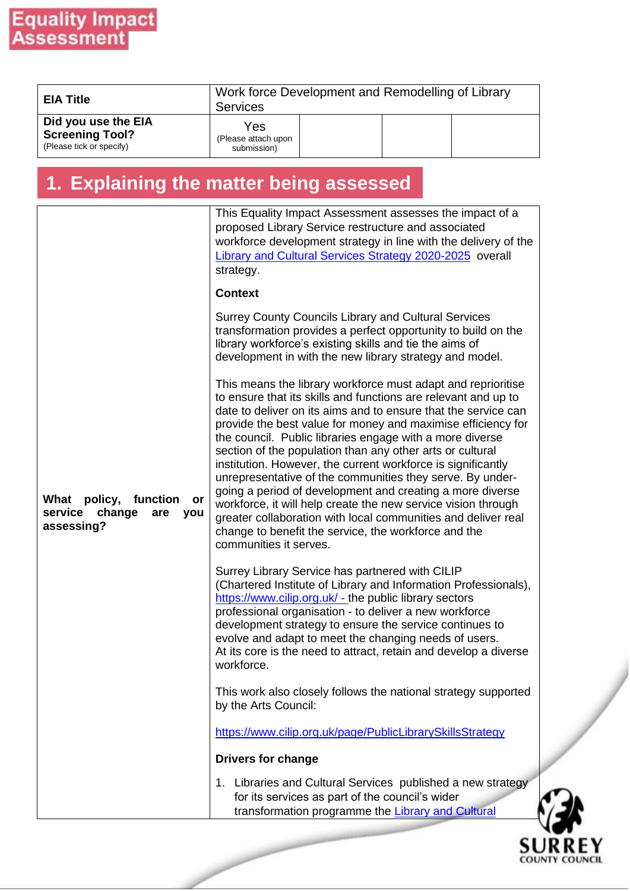| <b>EIA Title</b>                                                          | Work force Development and Remodelling of Library<br><b>Services</b> |  |  |  |  |
|---------------------------------------------------------------------------|----------------------------------------------------------------------|--|--|--|--|
| Did you use the EIA<br><b>Screening Tool?</b><br>(Please tick or specify) | Yes<br>(Please attach upon<br>submission)                            |  |  |  |  |

### **1. Explaining the matter being assessed**

|                                                                                    | This Equality Impact Assessment assesses the impact of a<br>proposed Library Service restructure and associated<br>workforce development strategy in line with the delivery of the<br>Library and Cultural Services Strategy 2020-2025 overall<br>strategy.<br><b>Context</b><br><b>Surrey County Councils Library and Cultural Services</b><br>transformation provides a perfect opportunity to build on the<br>library workforce's existing skills and tie the aims of<br>development in with the new library strategy and model.<br>This means the library workforce must adapt and reprioritise<br>to ensure that its skills and functions are relevant and up to<br>date to deliver on its aims and to ensure that the service can |
|------------------------------------------------------------------------------------|-----------------------------------------------------------------------------------------------------------------------------------------------------------------------------------------------------------------------------------------------------------------------------------------------------------------------------------------------------------------------------------------------------------------------------------------------------------------------------------------------------------------------------------------------------------------------------------------------------------------------------------------------------------------------------------------------------------------------------------------|
| What<br>policy,<br>function<br>or<br>service<br>change<br>are<br>you<br>assessing? | provide the best value for money and maximise efficiency for<br>the council. Public libraries engage with a more diverse<br>section of the population than any other arts or cultural<br>institution. However, the current workforce is significantly<br>unrepresentative of the communities they serve. By under-<br>going a period of development and creating a more diverse<br>workforce, it will help create the new service vision through<br>greater collaboration with local communities and deliver real<br>change to benefit the service, the workforce and the<br>communities it serves.                                                                                                                                     |
|                                                                                    | Surrey Library Service has partnered with CILIP<br>(Chartered Institute of Library and Information Professionals),<br>https://www.cilip.org.uk/ - the public library sectors<br>professional organisation - to deliver a new workforce<br>development strategy to ensure the service continues to<br>evolve and adapt to meet the changing needs of users.<br>At its core is the need to attract, retain and develop a diverse<br>workforce.                                                                                                                                                                                                                                                                                            |
|                                                                                    | This work also closely follows the national strategy supported<br>by the Arts Council:                                                                                                                                                                                                                                                                                                                                                                                                                                                                                                                                                                                                                                                  |
|                                                                                    | https://www.cilip.org.uk/page/PublicLibrarySkillsStrategy                                                                                                                                                                                                                                                                                                                                                                                                                                                                                                                                                                                                                                                                               |
|                                                                                    | <b>Drivers for change</b>                                                                                                                                                                                                                                                                                                                                                                                                                                                                                                                                                                                                                                                                                                               |
|                                                                                    | 1. Libraries and Cultural Services published a new strategy<br>for its services as part of the council's wider<br>transformation programme the Library and Cultural                                                                                                                                                                                                                                                                                                                                                                                                                                                                                                                                                                     |

**SURREY**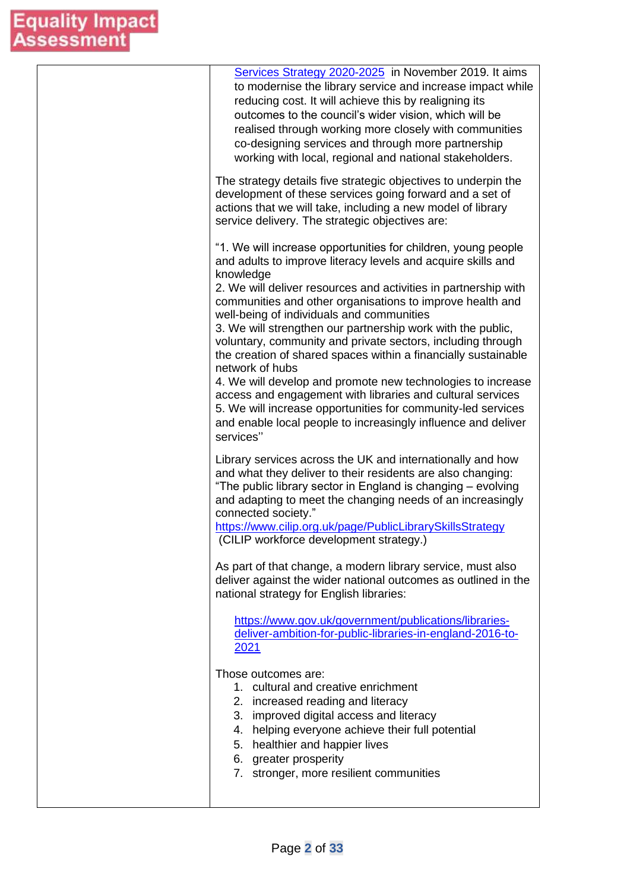| Services Strategy 2020-2025 in November 2019. It aims<br>to modernise the library service and increase impact while<br>reducing cost. It will achieve this by realigning its<br>outcomes to the council's wider vision, which will be<br>realised through working more closely with communities<br>co-designing services and through more partnership<br>working with local, regional and national stakeholders.                                                                                                                                                                                                                                                                                                                                                                                                      |
|-----------------------------------------------------------------------------------------------------------------------------------------------------------------------------------------------------------------------------------------------------------------------------------------------------------------------------------------------------------------------------------------------------------------------------------------------------------------------------------------------------------------------------------------------------------------------------------------------------------------------------------------------------------------------------------------------------------------------------------------------------------------------------------------------------------------------|
| The strategy details five strategic objectives to underpin the<br>development of these services going forward and a set of<br>actions that we will take, including a new model of library<br>service delivery. The strategic objectives are:                                                                                                                                                                                                                                                                                                                                                                                                                                                                                                                                                                          |
| "1. We will increase opportunities for children, young people<br>and adults to improve literacy levels and acquire skills and<br>knowledge<br>2. We will deliver resources and activities in partnership with<br>communities and other organisations to improve health and<br>well-being of individuals and communities<br>3. We will strengthen our partnership work with the public,<br>voluntary, community and private sectors, including through<br>the creation of shared spaces within a financially sustainable<br>network of hubs<br>4. We will develop and promote new technologies to increase<br>access and engagement with libraries and cultural services<br>5. We will increase opportunities for community-led services<br>and enable local people to increasingly influence and deliver<br>services" |
| Library services across the UK and internationally and how<br>and what they deliver to their residents are also changing:<br>"The public library sector in England is changing - evolving<br>and adapting to meet the changing needs of an increasingly<br>connected society."<br>https://www.cilip.org.uk/page/PublicLibrarySkillsStrategy<br>(CILIP workforce development strategy.)                                                                                                                                                                                                                                                                                                                                                                                                                                |
| As part of that change, a modern library service, must also<br>deliver against the wider national outcomes as outlined in the<br>national strategy for English libraries:                                                                                                                                                                                                                                                                                                                                                                                                                                                                                                                                                                                                                                             |
| https://www.gov.uk/government/publications/libraries-<br>deliver-ambition-for-public-libraries-in-england-2016-to-<br>2021                                                                                                                                                                                                                                                                                                                                                                                                                                                                                                                                                                                                                                                                                            |
| Those outcomes are:<br>1. cultural and creative enrichment<br>2. increased reading and literacy<br>3. improved digital access and literacy<br>4. helping everyone achieve their full potential<br>5. healthier and happier lives<br>6. greater prosperity<br>7. stronger, more resilient communities                                                                                                                                                                                                                                                                                                                                                                                                                                                                                                                  |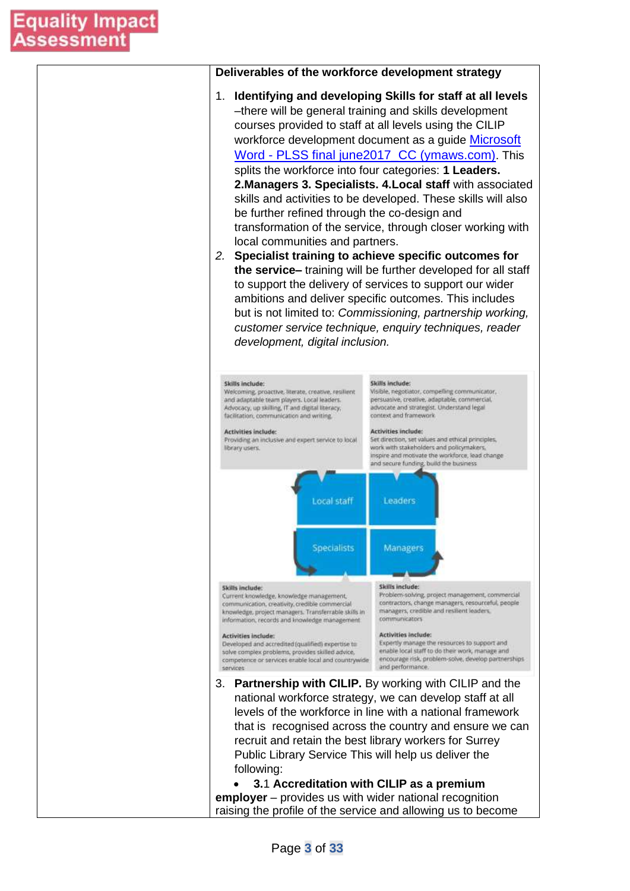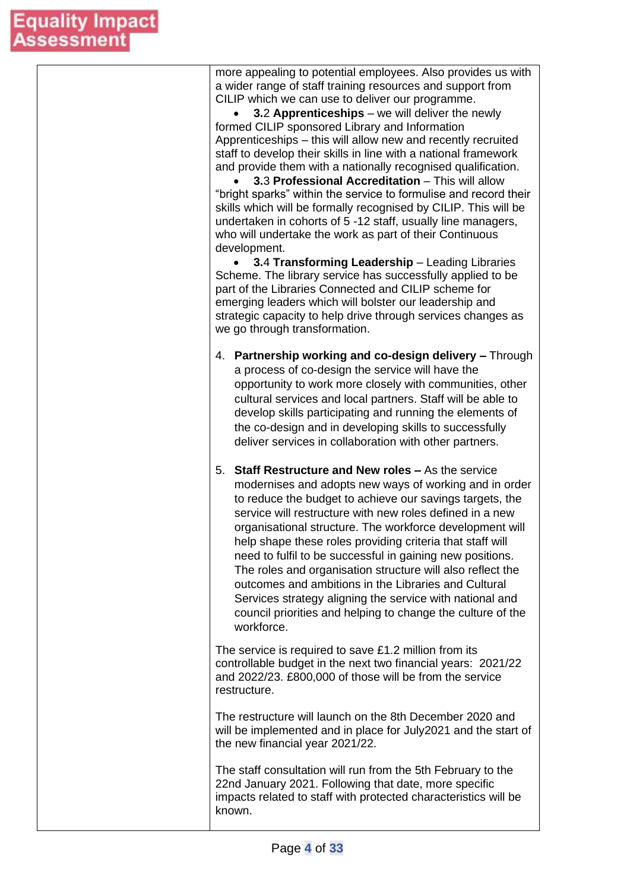| more appealing to potential employees. Also provides us with<br>a wider range of staff training resources and support from<br>CILIP which we can use to deliver our programme.<br>3.2 Apprenticeships - we will deliver the newly<br>formed CILIP sponsored Library and Information<br>Apprenticeships - this will allow new and recently recruited<br>staff to develop their skills in line with a national framework<br>and provide them with a nationally recognised qualification.<br>3.3 Professional Accreditation - This will allow<br>"bright sparks" within the service to formulise and record their<br>skills which will be formally recognised by CILIP. This will be<br>undertaken in cohorts of 5 -12 staff, usually line managers,<br>who will undertake the work as part of their Continuous<br>development.<br>3.4 Transforming Leadership - Leading Libraries |
|---------------------------------------------------------------------------------------------------------------------------------------------------------------------------------------------------------------------------------------------------------------------------------------------------------------------------------------------------------------------------------------------------------------------------------------------------------------------------------------------------------------------------------------------------------------------------------------------------------------------------------------------------------------------------------------------------------------------------------------------------------------------------------------------------------------------------------------------------------------------------------|
| Scheme. The library service has successfully applied to be<br>part of the Libraries Connected and CILIP scheme for<br>emerging leaders which will bolster our leadership and<br>strategic capacity to help drive through services changes as<br>we go through transformation.                                                                                                                                                                                                                                                                                                                                                                                                                                                                                                                                                                                                   |
| 4. Partnership working and co-design delivery - Through<br>a process of co-design the service will have the<br>opportunity to work more closely with communities, other<br>cultural services and local partners. Staff will be able to<br>develop skills participating and running the elements of<br>the co-design and in developing skills to successfully<br>deliver services in collaboration with other partners.                                                                                                                                                                                                                                                                                                                                                                                                                                                          |
| 5. Staff Restructure and New roles - As the service<br>modernises and adopts new ways of working and in order<br>to reduce the budget to achieve our savings targets, the<br>service will restructure with new roles defined in a new<br>organisational structure. The workforce development will<br>help shape these roles providing criteria that staff will<br>need to fulfil to be successful in gaining new positions.<br>The roles and organisation structure will also reflect the<br>outcomes and ambitions in the Libraries and Cultural<br>Services strategy aligning the service with national and<br>council priorities and helping to change the culture of the<br>workforce.                                                                                                                                                                                      |
| The service is required to save £1.2 million from its<br>controllable budget in the next two financial years: 2021/22<br>and 2022/23. £800,000 of those will be from the service<br>restructure.                                                                                                                                                                                                                                                                                                                                                                                                                                                                                                                                                                                                                                                                                |
| The restructure will launch on the 8th December 2020 and<br>will be implemented and in place for July2021 and the start of<br>the new financial year 2021/22.                                                                                                                                                                                                                                                                                                                                                                                                                                                                                                                                                                                                                                                                                                                   |
| The staff consultation will run from the 5th February to the<br>22nd January 2021. Following that date, more specific<br>impacts related to staff with protected characteristics will be<br>known.                                                                                                                                                                                                                                                                                                                                                                                                                                                                                                                                                                                                                                                                              |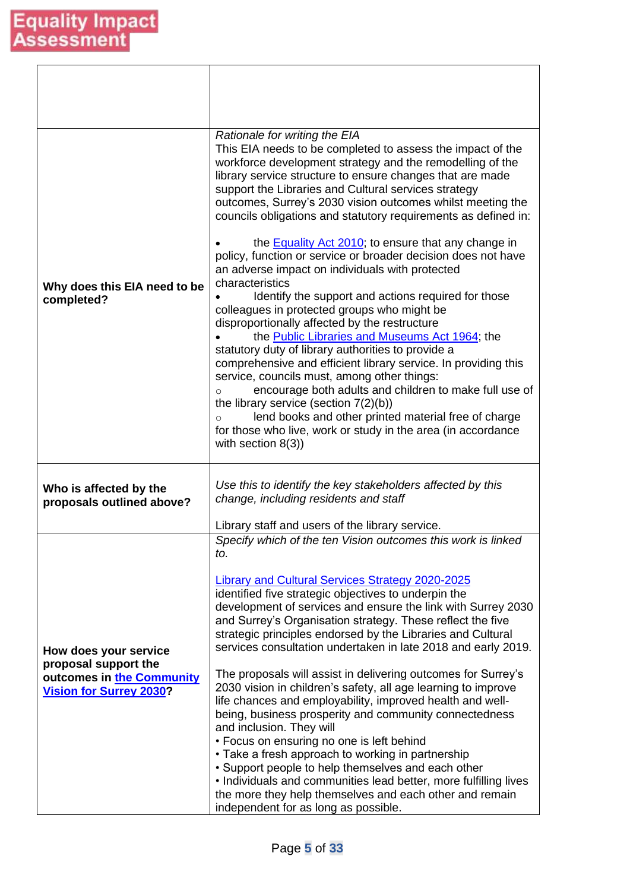| Why does this EIA need to be<br>completed?                                                                   | Rationale for writing the EIA<br>This EIA needs to be completed to assess the impact of the<br>workforce development strategy and the remodelling of the<br>library service structure to ensure changes that are made<br>support the Libraries and Cultural services strategy<br>outcomes, Surrey's 2030 vision outcomes whilst meeting the<br>councils obligations and statutory requirements as defined in:<br>the <b>Equality Act 2010</b> ; to ensure that any change in<br>policy, function or service or broader decision does not have<br>an adverse impact on individuals with protected<br>characteristics<br>Identify the support and actions required for those<br>colleagues in protected groups who might be<br>disproportionally affected by the restructure<br>the Public Libraries and Museums Act 1964; the<br>statutory duty of library authorities to provide a<br>comprehensive and efficient library service. In providing this<br>service, councils must, among other things:<br>encourage both adults and children to make full use of<br>$\circ$<br>the library service (section $7(2)(b)$ )<br>lend books and other printed material free of charge<br>$\circ$<br>for those who live, work or study in the area (in accordance<br>with section $8(3)$ ) |
|--------------------------------------------------------------------------------------------------------------|----------------------------------------------------------------------------------------------------------------------------------------------------------------------------------------------------------------------------------------------------------------------------------------------------------------------------------------------------------------------------------------------------------------------------------------------------------------------------------------------------------------------------------------------------------------------------------------------------------------------------------------------------------------------------------------------------------------------------------------------------------------------------------------------------------------------------------------------------------------------------------------------------------------------------------------------------------------------------------------------------------------------------------------------------------------------------------------------------------------------------------------------------------------------------------------------------------------------------------------------------------------------------------|
| Who is affected by the<br>proposals outlined above?                                                          | Use this to identify the key stakeholders affected by this<br>change, including residents and staff                                                                                                                                                                                                                                                                                                                                                                                                                                                                                                                                                                                                                                                                                                                                                                                                                                                                                                                                                                                                                                                                                                                                                                              |
| How does your service<br>proposal support the<br>outcomes in the Community<br><b>Vision for Surrey 2030?</b> | Library staff and users of the library service.<br>Specify which of the ten Vision outcomes this work is linked<br>to.<br><b>Library and Cultural Services Strategy 2020-2025</b><br>identified five strategic objectives to underpin the<br>development of services and ensure the link with Surrey 2030<br>and Surrey's Organisation strategy. These reflect the five<br>strategic principles endorsed by the Libraries and Cultural<br>services consultation undertaken in late 2018 and early 2019.<br>The proposals will assist in delivering outcomes for Surrey's<br>2030 vision in children's safety, all age learning to improve<br>life chances and employability, improved health and well-<br>being, business prosperity and community connectedness<br>and inclusion. They will<br>• Focus on ensuring no one is left behind<br>• Take a fresh approach to working in partnership<br>• Support people to help themselves and each other<br>• Individuals and communities lead better, more fulfilling lives<br>the more they help themselves and each other and remain<br>independent for as long as possible.                                                                                                                                                      |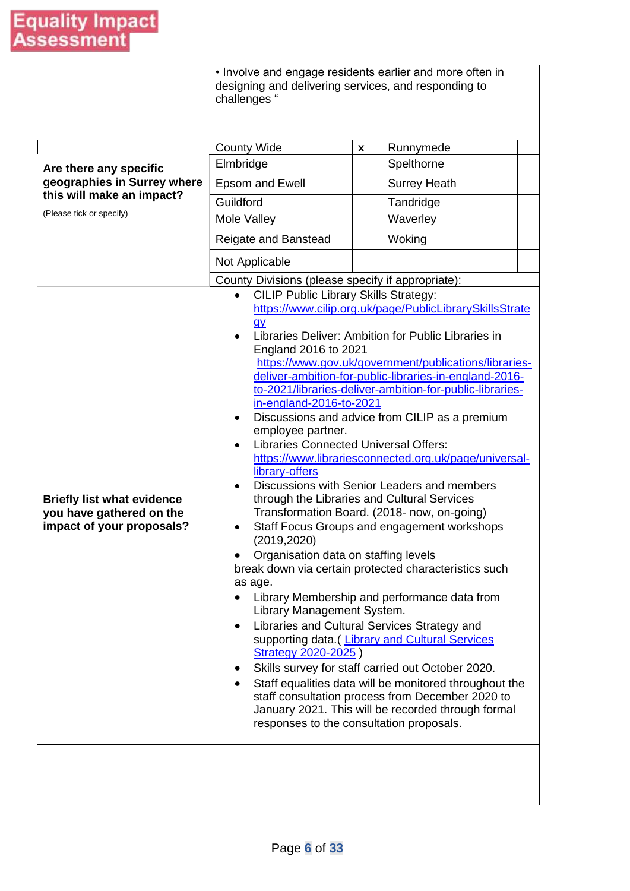|                                                                                            | • Involve and engage residents earlier and more often in<br>designing and delivering services, and responding to<br>challenges "                                                                                                                                                                                                                                                                                                                                   |                    |                                                                                                                                                                                                                                                                                                                                                                                                                                                                                                                                                                                                                                                                                                                                                                                                                                                                                                                                                                                            |  |  |
|--------------------------------------------------------------------------------------------|--------------------------------------------------------------------------------------------------------------------------------------------------------------------------------------------------------------------------------------------------------------------------------------------------------------------------------------------------------------------------------------------------------------------------------------------------------------------|--------------------|--------------------------------------------------------------------------------------------------------------------------------------------------------------------------------------------------------------------------------------------------------------------------------------------------------------------------------------------------------------------------------------------------------------------------------------------------------------------------------------------------------------------------------------------------------------------------------------------------------------------------------------------------------------------------------------------------------------------------------------------------------------------------------------------------------------------------------------------------------------------------------------------------------------------------------------------------------------------------------------------|--|--|
|                                                                                            | <b>County Wide</b>                                                                                                                                                                                                                                                                                                                                                                                                                                                 | $\pmb{\mathsf{x}}$ | Runnymede                                                                                                                                                                                                                                                                                                                                                                                                                                                                                                                                                                                                                                                                                                                                                                                                                                                                                                                                                                                  |  |  |
| Are there any specific                                                                     | Elmbridge                                                                                                                                                                                                                                                                                                                                                                                                                                                          |                    | Spelthorne                                                                                                                                                                                                                                                                                                                                                                                                                                                                                                                                                                                                                                                                                                                                                                                                                                                                                                                                                                                 |  |  |
| geographies in Surrey where                                                                | <b>Epsom and Ewell</b>                                                                                                                                                                                                                                                                                                                                                                                                                                             |                    | <b>Surrey Heath</b>                                                                                                                                                                                                                                                                                                                                                                                                                                                                                                                                                                                                                                                                                                                                                                                                                                                                                                                                                                        |  |  |
| this will make an impact?                                                                  | Guildford                                                                                                                                                                                                                                                                                                                                                                                                                                                          |                    | Tandridge                                                                                                                                                                                                                                                                                                                                                                                                                                                                                                                                                                                                                                                                                                                                                                                                                                                                                                                                                                                  |  |  |
| (Please tick or specify)                                                                   | Mole Valley                                                                                                                                                                                                                                                                                                                                                                                                                                                        |                    | Waverley                                                                                                                                                                                                                                                                                                                                                                                                                                                                                                                                                                                                                                                                                                                                                                                                                                                                                                                                                                                   |  |  |
|                                                                                            | Reigate and Banstead                                                                                                                                                                                                                                                                                                                                                                                                                                               |                    | Woking                                                                                                                                                                                                                                                                                                                                                                                                                                                                                                                                                                                                                                                                                                                                                                                                                                                                                                                                                                                     |  |  |
|                                                                                            | Not Applicable                                                                                                                                                                                                                                                                                                                                                                                                                                                     |                    |                                                                                                                                                                                                                                                                                                                                                                                                                                                                                                                                                                                                                                                                                                                                                                                                                                                                                                                                                                                            |  |  |
|                                                                                            | County Divisions (please specify if appropriate):                                                                                                                                                                                                                                                                                                                                                                                                                  |                    |                                                                                                                                                                                                                                                                                                                                                                                                                                                                                                                                                                                                                                                                                                                                                                                                                                                                                                                                                                                            |  |  |
| <b>Briefly list what evidence</b><br>you have gathered on the<br>impact of your proposals? | <b>CILIP Public Library Skills Strategy:</b><br>$\bullet$<br>q <sub>N</sub><br>England 2016 to 2021<br>in-england-2016-to-2021<br>$\bullet$<br>employee partner.<br><b>Libraries Connected Universal Offers:</b><br>library-offers<br>$\bullet$<br>through the Libraries and Cultural Services<br>(2019, 2020)<br>Organisation data on staffing levels<br>as age.<br>Library Management System.<br>Strategy 2020-2025)<br>responses to the consultation proposals. |                    | https://www.cilip.org.uk/page/PublicLibrarySkillsStrate<br>Libraries Deliver: Ambition for Public Libraries in<br>https://www.gov.uk/government/publications/libraries-<br>deliver-ambition-for-public-libraries-in-england-2016-<br>to-2021/libraries-deliver-ambition-for-public-libraries-<br>Discussions and advice from CILIP as a premium<br>https://www.librariesconnected.org.uk/page/universal-<br>Discussions with Senior Leaders and members<br>Transformation Board. (2018- now, on-going)<br>Staff Focus Groups and engagement workshops<br>break down via certain protected characteristics such<br>Library Membership and performance data from<br>Libraries and Cultural Services Strategy and<br>supporting data. (Library and Cultural Services<br>Skills survey for staff carried out October 2020.<br>Staff equalities data will be monitored throughout the<br>staff consultation process from December 2020 to<br>January 2021. This will be recorded through formal |  |  |
|                                                                                            |                                                                                                                                                                                                                                                                                                                                                                                                                                                                    |                    |                                                                                                                                                                                                                                                                                                                                                                                                                                                                                                                                                                                                                                                                                                                                                                                                                                                                                                                                                                                            |  |  |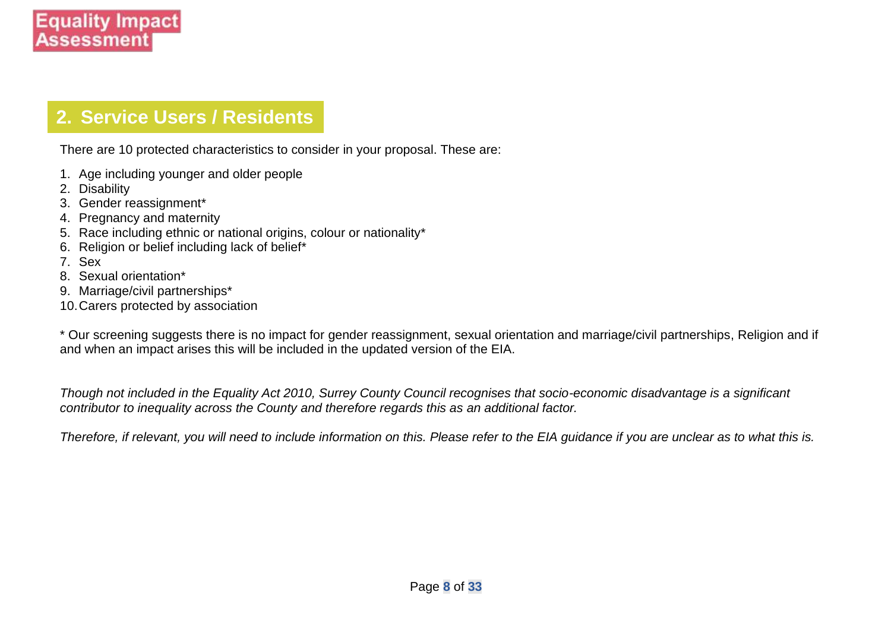### **2. Service Users / Residents**

There are 10 protected characteristics to consider in your proposal. These are:

- 1. Age including younger and older people
- 2. Disability
- 3. Gender reassignment\*
- 4. Pregnancy and maternity
- 5. Race including ethnic or national origins, colour or nationality\*
- 6. Religion or belief including lack of belief\*
- 7. Sex
- 8. Sexual orientation\*
- 9. Marriage/civil partnerships\*
- 10.Carers protected by association

\* Our screening suggests there is no impact for gender reassignment, sexual orientation and marriage/civil partnerships, Religion and if and when an impact arises this will be included in the updated version of the EIA.

*Though not included in the Equality Act 2010, Surrey County Council recognises that socio-economic disadvantage is a significant contributor to inequality across the County and therefore regards this as an additional factor.* 

*Therefore, if relevant, you will need to include information on this. Please refer to the EIA guidance if you are unclear as to what this is.*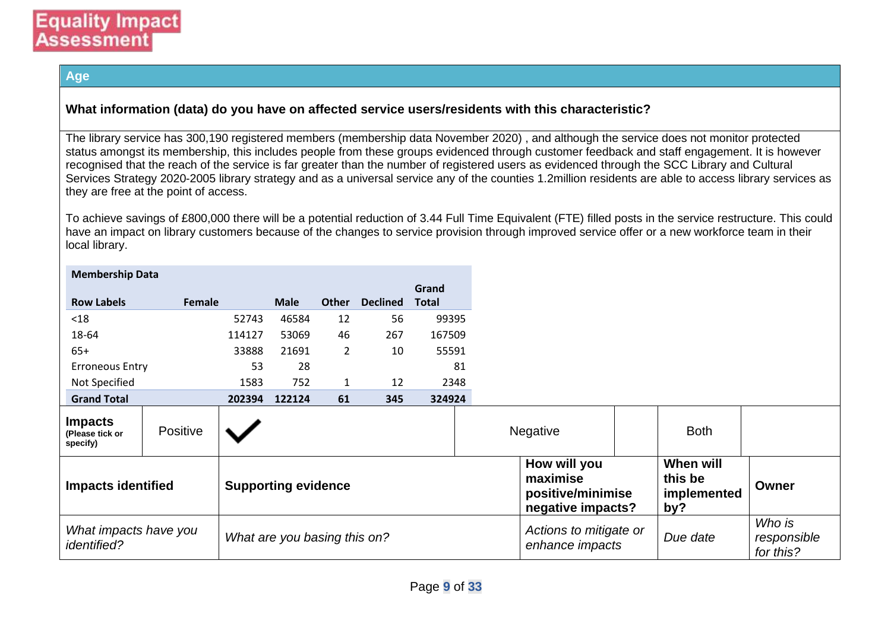#### **Age**

#### **What information (data) do you have on affected service users/residents with this characteristic?**

The library service has 300,190 registered members (membership data November 2020) , and although the service does not monitor protected status amongst its membership, this includes people from these groups evidenced through customer feedback and staff engagement. It is however recognised that the reach of the service is far greater than the number of registered users as evidenced through the SCC Library and Cultural Services Strategy 2020-2005 library strategy and as a universal service any of the counties 1.2million residents are able to access library services as they are free at the point of access.

To achieve savings of £800,000 there will be a potential reduction of 3.44 Full Time Equivalent (FTE) filled posts in the service restructure. This could have an impact on library customers because of the changes to service provision through improved service offer or a new workforce team in their local library.

| <b>Membership Data</b>                                  |          |        |                              |                |                 |              |
|---------------------------------------------------------|----------|--------|------------------------------|----------------|-----------------|--------------|
|                                                         |          |        |                              |                |                 | Grand        |
| <b>Row Labels</b>                                       | Female   |        | <b>Male</b>                  | Other          | <b>Declined</b> | <b>Total</b> |
| $18$                                                    |          | 52743  | 46584                        | 12             | 56              | 99395        |
| 18-64                                                   |          | 114127 | 53069                        | 46             | 267             | 167509       |
| $65+$                                                   |          | 33888  | 21691                        | $\overline{2}$ | 10              | 55591        |
| <b>Erroneous Entry</b>                                  |          | 53     | 28                           |                |                 | 81           |
| Not Specified                                           |          | 1583   | 752                          | $\mathbf{1}$   | 12              | 2348         |
| <b>Grand Total</b>                                      |          | 202394 | 122124                       | 61             | 345             | 324924       |
| <b>Impacts</b><br>(Please tick or<br>specify)           | Positive |        |                              |                |                 |              |
| <b>Impacts identified</b><br><b>Supporting evidence</b> |          |        |                              |                |                 |              |
| What impacts have you<br><i>identified?</i>             |          |        | What are you basing this on? |                |                 |              |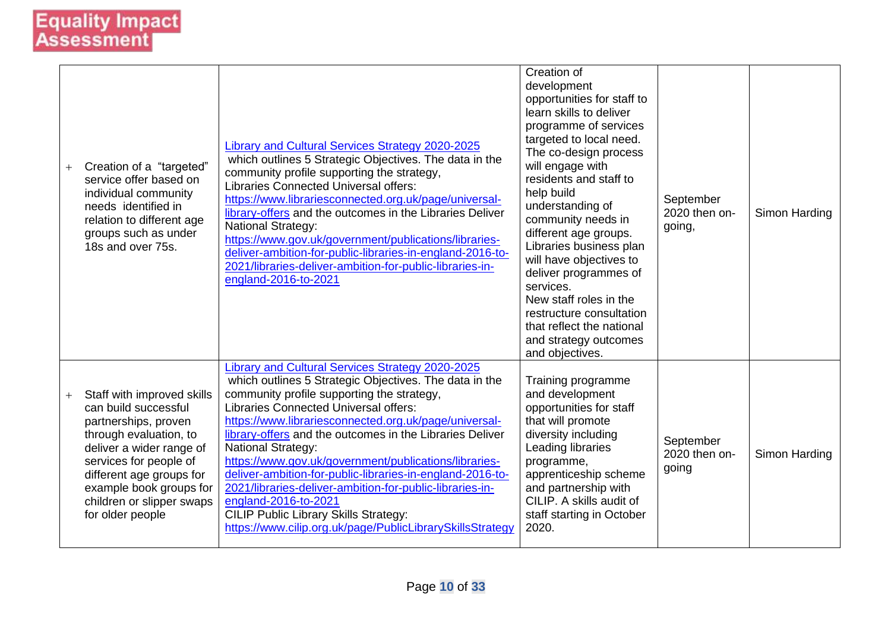| Creation of a "targeted"<br>service offer based on<br>individual community<br>needs identified in<br>relation to different age<br>groups such as under<br>18s and over 75s.                                                                                        | <b>Library and Cultural Services Strategy 2020-2025</b><br>which outlines 5 Strategic Objectives. The data in the<br>community profile supporting the strategy,<br><b>Libraries Connected Universal offers:</b><br>https://www.librariesconnected.org.uk/page/universal-<br>library-offers and the outcomes in the Libraries Deliver<br><b>National Strategy:</b><br>https://www.gov.uk/government/publications/libraries-<br>deliver-ambition-for-public-libraries-in-england-2016-to-<br>2021/libraries-deliver-ambition-for-public-libraries-in-<br>england-2016-to-2021                                                                                                       | Creation of<br>development<br>opportunities for staff to<br>learn skills to deliver<br>programme of services<br>targeted to local need.<br>The co-design process<br>will engage with<br>residents and staff to<br>help build<br>understanding of<br>community needs in<br>different age groups.<br>Libraries business plan<br>will have objectives to<br>deliver programmes of<br>services.<br>New staff roles in the<br>restructure consultation<br>that reflect the national<br>and strategy outcomes<br>and objectives. | September<br>2020 then on-<br>going, | Simon Harding |
|--------------------------------------------------------------------------------------------------------------------------------------------------------------------------------------------------------------------------------------------------------------------|-----------------------------------------------------------------------------------------------------------------------------------------------------------------------------------------------------------------------------------------------------------------------------------------------------------------------------------------------------------------------------------------------------------------------------------------------------------------------------------------------------------------------------------------------------------------------------------------------------------------------------------------------------------------------------------|----------------------------------------------------------------------------------------------------------------------------------------------------------------------------------------------------------------------------------------------------------------------------------------------------------------------------------------------------------------------------------------------------------------------------------------------------------------------------------------------------------------------------|--------------------------------------|---------------|
| Staff with improved skills<br>can build successful<br>partnerships, proven<br>through evaluation, to<br>deliver a wider range of<br>services for people of<br>different age groups for<br>example book groups for<br>children or slipper swaps<br>for older people | Library and Cultural Services Strategy 2020-2025<br>which outlines 5 Strategic Objectives. The data in the<br>community profile supporting the strategy,<br><b>Libraries Connected Universal offers:</b><br>https://www.librariesconnected.org.uk/page/universal-<br>library-offers and the outcomes in the Libraries Deliver<br><b>National Strategy:</b><br>https://www.gov.uk/government/publications/libraries-<br>deliver-ambition-for-public-libraries-in-england-2016-to-<br>2021/libraries-deliver-ambition-for-public-libraries-in-<br>england-2016-to-2021<br><b>CILIP Public Library Skills Strategy:</b><br>https://www.cilip.org.uk/page/PublicLibrarySkillsStrategy | Training programme<br>and development<br>opportunities for staff<br>that will promote<br>diversity including<br>Leading libraries<br>programme,<br>apprenticeship scheme<br>and partnership with<br>CILIP. A skills audit of<br>staff starting in October<br>2020.                                                                                                                                                                                                                                                         | September<br>2020 then on-<br>going  | Simon Harding |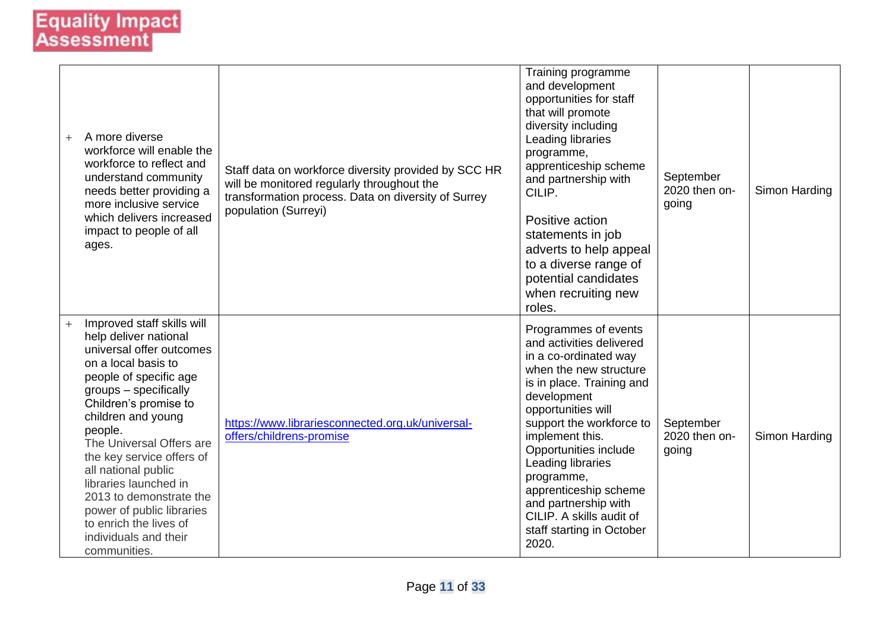| $^{+}$ | A more diverse<br>workforce will enable the<br>workforce to reflect and<br>understand community<br>needs better providing a<br>more inclusive service<br>which delivers increased<br>impact to people of all<br>ages.                                                                                                                                                                                                                                   | Staff data on workforce diversity provided by SCC HR<br>will be monitored regularly throughout the<br>transformation process. Data on diversity of Surrey<br>population (Surreyi) | Training programme<br>and development<br>opportunities for staff<br>that will promote<br>diversity including<br>Leading libraries<br>programme,<br>apprenticeship scheme<br>and partnership with<br>CILIP.<br>Positive action<br>statements in job<br>adverts to help appeal<br>to a diverse range of<br>potential candidates<br>when recruiting new<br>roles.                                      | September<br>2020 then on-<br>going | Simon Harding |
|--------|---------------------------------------------------------------------------------------------------------------------------------------------------------------------------------------------------------------------------------------------------------------------------------------------------------------------------------------------------------------------------------------------------------------------------------------------------------|-----------------------------------------------------------------------------------------------------------------------------------------------------------------------------------|-----------------------------------------------------------------------------------------------------------------------------------------------------------------------------------------------------------------------------------------------------------------------------------------------------------------------------------------------------------------------------------------------------|-------------------------------------|---------------|
| $^{+}$ | Improved staff skills will<br>help deliver national<br>universal offer outcomes<br>on a local basis to<br>people of specific age<br>groups - specifically<br>Children's promise to<br>children and young<br>people.<br>The Universal Offers are<br>the key service offers of<br>all national public<br>libraries launched in<br>2013 to demonstrate the<br>power of public libraries<br>to enrich the lives of<br>individuals and their<br>communities. | https://www.librariesconnected.org.uk/universal-<br>offers/childrens-promise                                                                                                      | Programmes of events<br>and activities delivered<br>in a co-ordinated way<br>when the new structure<br>is in place. Training and<br>development<br>opportunities will<br>support the workforce to<br>implement this.<br>Opportunities include<br>Leading libraries<br>programme,<br>apprenticeship scheme<br>and partnership with<br>CILIP. A skills audit of<br>staff starting in October<br>2020. | September<br>2020 then on-<br>going | Simon Harding |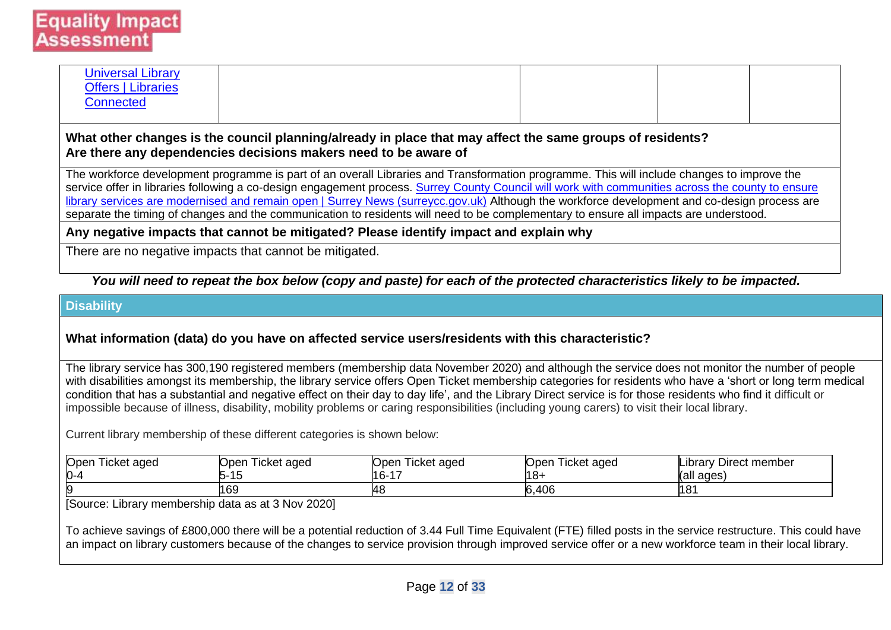| <b>Universal Library</b><br><b>Offers   Libraries</b><br><b>Connected</b> |  |  |
|---------------------------------------------------------------------------|--|--|
|                                                                           |  |  |

#### **What other changes is the council planning/already in place that may affect the same groups of residents? Are there any dependencies decisions makers need to be aware of**

The workforce development programme is part of an overall Libraries and Transformation programme. This will include changes to improve the service offer in libraries following a co-design engagement process. Surrey County Council will work with communities across the county to ensure [library services are modernised and remain open | Surrey News \(surreycc.gov.uk\)](https://news.surreycc.gov.uk/2019/11/18/surrey-county-council-will-work-with-communities-across-the-county-to-ensure-library-services-are-modernised-and-remain-open/) Although the workforce development and co-design process are separate the timing of changes and the communication to residents will need to be complementary to ensure all impacts are understood*.* 

**Any negative impacts that cannot be mitigated? Please identify impact and explain why**

There are no negative impacts that cannot be mitigated.

#### *You will need to repeat the box below (copy and paste) for each of the protected characteristics likely to be impacted.*

#### **Disability**

#### **What information (data) do you have on affected service users/residents with this characteristic?**

The library service has 300,190 registered members (membership data November 2020) and although the service does not monitor the number of people with disabilities amongst its membership, the library service offers Open Ticket membership categories for residents who have a 'short or long term medical condition that has a substantial and negative effect on their day to day life', and the Library Direct service is for those residents who find it difficult or impossible because of illness, disability, mobility problems or caring responsibilities (including young carers) to visit their local library.

Current library membership of these different categories is shown below:

|         | Dopen Ticket aged | Ticket aged<br>Open | Open Ticket aged | Ticket aged<br>Open | Library Direct member |
|---------|-------------------|---------------------|------------------|---------------------|-----------------------|
| $0 - 4$ |                   | ∽-<br>ں ا           | $16 - 17$        | ا-8 ا               | l(all ages)           |
| - 19    |                   | 169                 |                  | 6,406               | 181                   |

[Source: Library membership data as at 3 Nov 2020]

To achieve savings of £800,000 there will be a potential reduction of 3.44 Full Time Equivalent (FTE) filled posts in the service restructure. This could have an impact on library customers because of the changes to service provision through improved service offer or a new workforce team in their local library.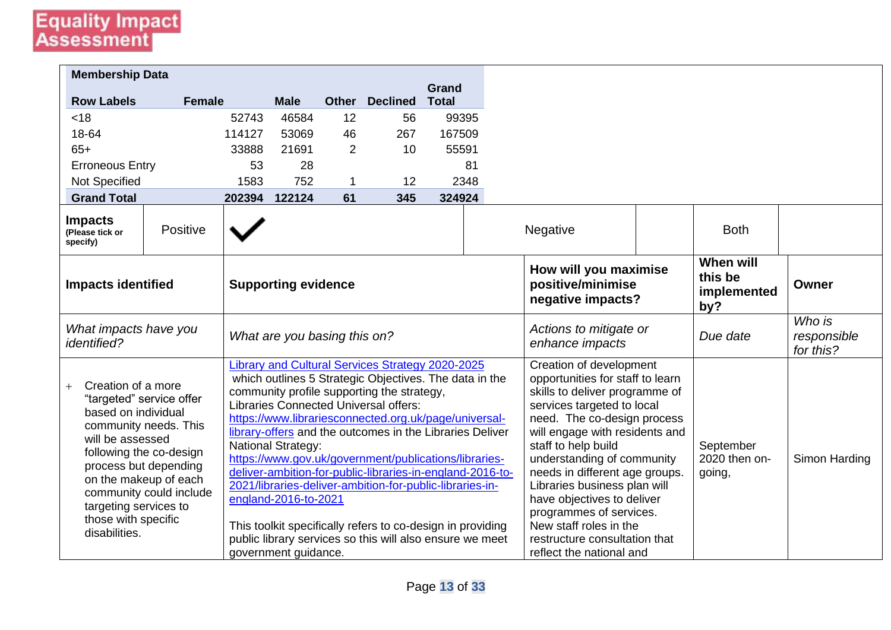| <b>Membership Data</b>                                                                                                                                                                                                                                                                      |               |        |                                                                           |                |                                                                                                                                                                                                                                                                                                                                                                                                                                                                                                                                                                                                                                           |                              |                                                                                                                                                                                                                                                                                                                                                                                                                                                                     |                                            |                                    |
|---------------------------------------------------------------------------------------------------------------------------------------------------------------------------------------------------------------------------------------------------------------------------------------------|---------------|--------|---------------------------------------------------------------------------|----------------|-------------------------------------------------------------------------------------------------------------------------------------------------------------------------------------------------------------------------------------------------------------------------------------------------------------------------------------------------------------------------------------------------------------------------------------------------------------------------------------------------------------------------------------------------------------------------------------------------------------------------------------------|------------------------------|---------------------------------------------------------------------------------------------------------------------------------------------------------------------------------------------------------------------------------------------------------------------------------------------------------------------------------------------------------------------------------------------------------------------------------------------------------------------|--------------------------------------------|------------------------------------|
| <b>Row Labels</b>                                                                                                                                                                                                                                                                           | <b>Female</b> |        | <b>Male</b>                                                               |                | <b>Other Declined</b>                                                                                                                                                                                                                                                                                                                                                                                                                                                                                                                                                                                                                     | <b>Grand</b><br><b>Total</b> |                                                                                                                                                                                                                                                                                                                                                                                                                                                                     |                                            |                                    |
| < 18                                                                                                                                                                                                                                                                                        |               | 52743  | 46584                                                                     | 12             | 56                                                                                                                                                                                                                                                                                                                                                                                                                                                                                                                                                                                                                                        | 99395                        |                                                                                                                                                                                                                                                                                                                                                                                                                                                                     |                                            |                                    |
| 18-64                                                                                                                                                                                                                                                                                       |               | 114127 | 53069                                                                     | 46             | 267                                                                                                                                                                                                                                                                                                                                                                                                                                                                                                                                                                                                                                       | 167509                       |                                                                                                                                                                                                                                                                                                                                                                                                                                                                     |                                            |                                    |
| $65+$                                                                                                                                                                                                                                                                                       |               | 33888  | 21691                                                                     | $\overline{2}$ | 10                                                                                                                                                                                                                                                                                                                                                                                                                                                                                                                                                                                                                                        | 55591                        |                                                                                                                                                                                                                                                                                                                                                                                                                                                                     |                                            |                                    |
| <b>Erroneous Entry</b>                                                                                                                                                                                                                                                                      |               | 53     | 28                                                                        |                |                                                                                                                                                                                                                                                                                                                                                                                                                                                                                                                                                                                                                                           | 81                           |                                                                                                                                                                                                                                                                                                                                                                                                                                                                     |                                            |                                    |
| Not Specified                                                                                                                                                                                                                                                                               |               | 1583   | 752                                                                       | -1             | 12                                                                                                                                                                                                                                                                                                                                                                                                                                                                                                                                                                                                                                        | 2348                         |                                                                                                                                                                                                                                                                                                                                                                                                                                                                     |                                            |                                    |
| <b>Grand Total</b>                                                                                                                                                                                                                                                                          |               | 202394 | 122124                                                                    | 61             | 345                                                                                                                                                                                                                                                                                                                                                                                                                                                                                                                                                                                                                                       | 324924                       |                                                                                                                                                                                                                                                                                                                                                                                                                                                                     |                                            |                                    |
| <b>Impacts</b><br>(Please tick or<br>specify)                                                                                                                                                                                                                                               | Positive      |        |                                                                           |                |                                                                                                                                                                                                                                                                                                                                                                                                                                                                                                                                                                                                                                           |                              | Negative                                                                                                                                                                                                                                                                                                                                                                                                                                                            | <b>Both</b>                                |                                    |
| <b>Impacts identified</b>                                                                                                                                                                                                                                                                   |               |        | <b>Supporting evidence</b>                                                |                |                                                                                                                                                                                                                                                                                                                                                                                                                                                                                                                                                                                                                                           |                              | How will you maximise<br>positive/minimise<br>negative impacts?                                                                                                                                                                                                                                                                                                                                                                                                     | When will<br>this be<br>implemented<br>by? | Owner                              |
| What impacts have you<br><i>identified?</i>                                                                                                                                                                                                                                                 |               |        | What are you basing this on?                                              |                |                                                                                                                                                                                                                                                                                                                                                                                                                                                                                                                                                                                                                                           |                              | Actions to mitigate or<br>enhance impacts                                                                                                                                                                                                                                                                                                                                                                                                                           | Due date                                   | Who is<br>responsible<br>for this? |
| Creation of a more<br>"targeted" service offer<br>based on individual<br>community needs. This<br>will be assessed<br>following the co-design<br>process but depending<br>on the makeup of each<br>community could include<br>targeting services to<br>those with specific<br>disabilities. |               |        | <b>National Strategy:</b><br>england-2016-to-2021<br>government guidance. |                | Library and Cultural Services Strategy 2020-2025<br>which outlines 5 Strategic Objectives. The data in the<br>community profile supporting the strategy,<br><b>Libraries Connected Universal offers:</b><br>https://www.librariesconnected.org.uk/page/universal-<br>library-offers and the outcomes in the Libraries Deliver<br>https://www.gov.uk/government/publications/libraries-<br>deliver-ambition-for-public-libraries-in-england-2016-to-<br>2021/libraries-deliver-ambition-for-public-libraries-in-<br>This toolkit specifically refers to co-design in providing<br>public library services so this will also ensure we meet |                              | Creation of development<br>opportunities for staff to learn<br>skills to deliver programme of<br>services targeted to local<br>need. The co-design process<br>will engage with residents and<br>staff to help build<br>understanding of community<br>needs in different age groups.<br>Libraries business plan will<br>have objectives to deliver<br>programmes of services.<br>New staff roles in the<br>restructure consultation that<br>reflect the national and | September<br>2020 then on-<br>going,       | Simon Harding                      |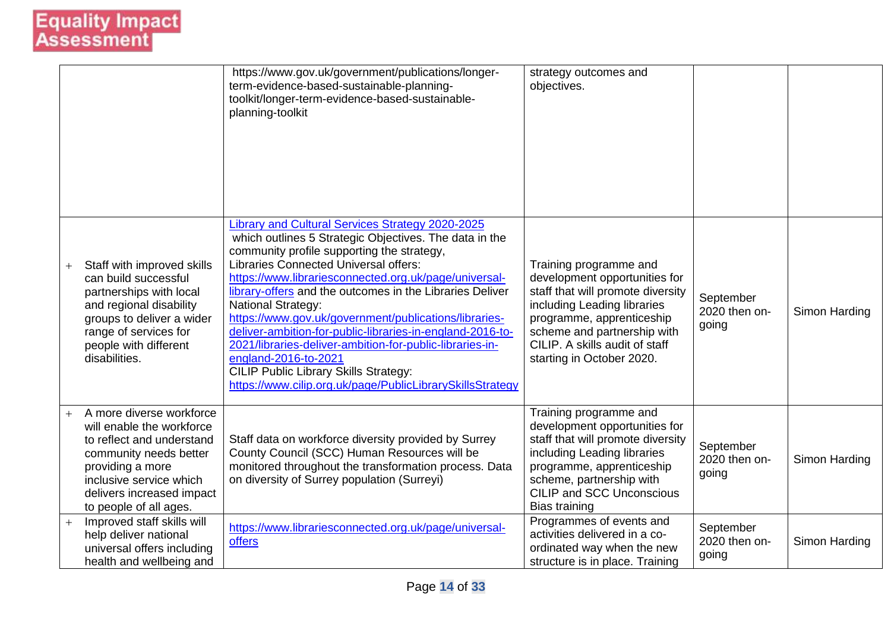|                |                                                                                                                                                                                                                    | https://www.gov.uk/government/publications/longer-<br>term-evidence-based-sustainable-planning-<br>toolkit/longer-term-evidence-based-sustainable-<br>planning-toolkit                                                                                                                                                                                                                                                                                                                                                                                                                                                                                                            | strategy outcomes and<br>objectives.                                                                                                                                                                                                                   |                                     |               |
|----------------|--------------------------------------------------------------------------------------------------------------------------------------------------------------------------------------------------------------------|-----------------------------------------------------------------------------------------------------------------------------------------------------------------------------------------------------------------------------------------------------------------------------------------------------------------------------------------------------------------------------------------------------------------------------------------------------------------------------------------------------------------------------------------------------------------------------------------------------------------------------------------------------------------------------------|--------------------------------------------------------------------------------------------------------------------------------------------------------------------------------------------------------------------------------------------------------|-------------------------------------|---------------|
|                | Staff with improved skills<br>can build successful<br>partnerships with local<br>and regional disability<br>groups to deliver a wider<br>range of services for<br>people with different<br>disabilities.           | Library and Cultural Services Strategy 2020-2025<br>which outlines 5 Strategic Objectives. The data in the<br>community profile supporting the strategy,<br><b>Libraries Connected Universal offers:</b><br>https://www.librariesconnected.org.uk/page/universal-<br>library-offers and the outcomes in the Libraries Deliver<br><b>National Strategy:</b><br>https://www.gov.uk/government/publications/libraries-<br>deliver-ambition-for-public-libraries-in-england-2016-to-<br>2021/libraries-deliver-ambition-for-public-libraries-in-<br>england-2016-to-2021<br><b>CILIP Public Library Skills Strategy:</b><br>https://www.cilip.org.uk/page/PublicLibrarySkillsStrategy | Training programme and<br>development opportunities for<br>staff that will promote diversity<br>including Leading libraries<br>programme, apprenticeship<br>scheme and partnership with<br>CILIP. A skills audit of staff<br>starting in October 2020. | September<br>2020 then on-<br>going | Simon Harding |
| $\overline{+}$ | A more diverse workforce<br>will enable the workforce<br>to reflect and understand<br>community needs better<br>providing a more<br>inclusive service which<br>delivers increased impact<br>to people of all ages. | Staff data on workforce diversity provided by Surrey<br>County Council (SCC) Human Resources will be<br>monitored throughout the transformation process. Data<br>on diversity of Surrey population (Surreyi)                                                                                                                                                                                                                                                                                                                                                                                                                                                                      | Training programme and<br>development opportunities for<br>staff that will promote diversity<br>including Leading libraries<br>programme, apprenticeship<br>scheme, partnership with<br><b>CILIP and SCC Unconscious</b><br><b>Bias training</b>       | September<br>2020 then on-<br>going | Simon Harding |
| $^{+}$         | Improved staff skills will<br>help deliver national<br>universal offers including<br>health and wellbeing and                                                                                                      | https://www.librariesconnected.org.uk/page/universal-<br>offers                                                                                                                                                                                                                                                                                                                                                                                                                                                                                                                                                                                                                   | Programmes of events and<br>activities delivered in a co-<br>ordinated way when the new<br>structure is in place. Training                                                                                                                             | September<br>2020 then on-<br>going | Simon Harding |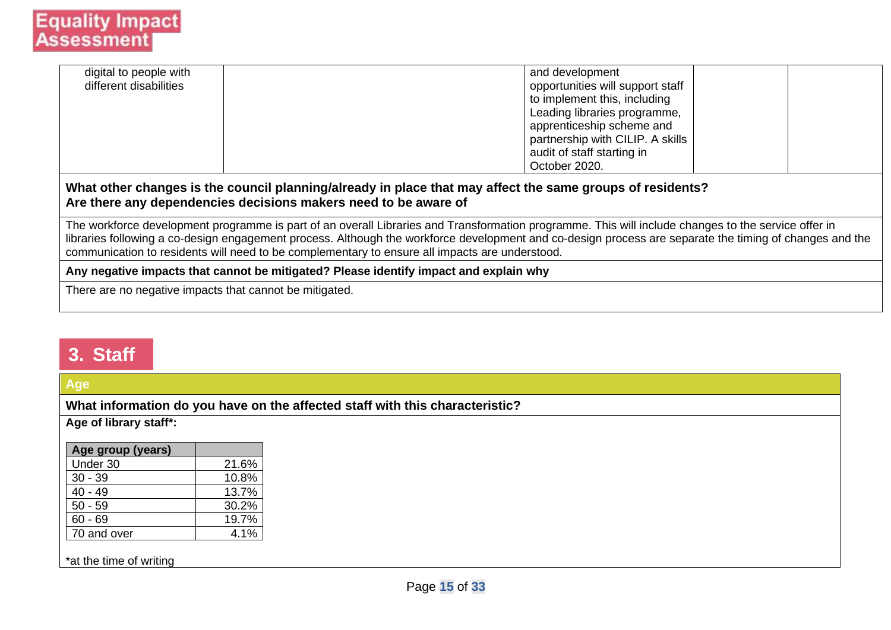| digital to people with<br>different disabilities |                                                                                                                                                                                                                                                                                                                                                                                                                  | and development<br>opportunities will support staff<br>to implement this, including<br>Leading libraries programme,<br>apprenticeship scheme and<br>partnership with CILIP. A skills<br>audit of staff starting in |  |
|--------------------------------------------------|------------------------------------------------------------------------------------------------------------------------------------------------------------------------------------------------------------------------------------------------------------------------------------------------------------------------------------------------------------------------------------------------------------------|--------------------------------------------------------------------------------------------------------------------------------------------------------------------------------------------------------------------|--|
|                                                  |                                                                                                                                                                                                                                                                                                                                                                                                                  | October 2020.                                                                                                                                                                                                      |  |
|                                                  | What other changes is the council planning/already in place that may affect the same groups of residents?<br>Are there any dependencies decisions makers need to be aware of                                                                                                                                                                                                                                     |                                                                                                                                                                                                                    |  |
|                                                  | The workforce development programme is part of an overall Libraries and Transformation programme. This will include changes to the service offer in<br>libraries following a co-design engagement process. Although the workforce development and co-design process are separate the timing of changes and the<br>communication to residents will need to be complementary to ensure all impacts are understood. |                                                                                                                                                                                                                    |  |

#### **Any negative impacts that cannot be mitigated? Please identify impact and explain why**

There are no negative impacts that cannot be mitigated.

### **3. Staff**

### **Age**

**What information do you have on the affected staff with this characteristic?**

**Age of library staff\*:**

| 21.6% |
|-------|
| 10.8% |
| 13.7% |
| 30.2% |
| 19.7% |
| 4.1%  |
|       |

\*at the time of writing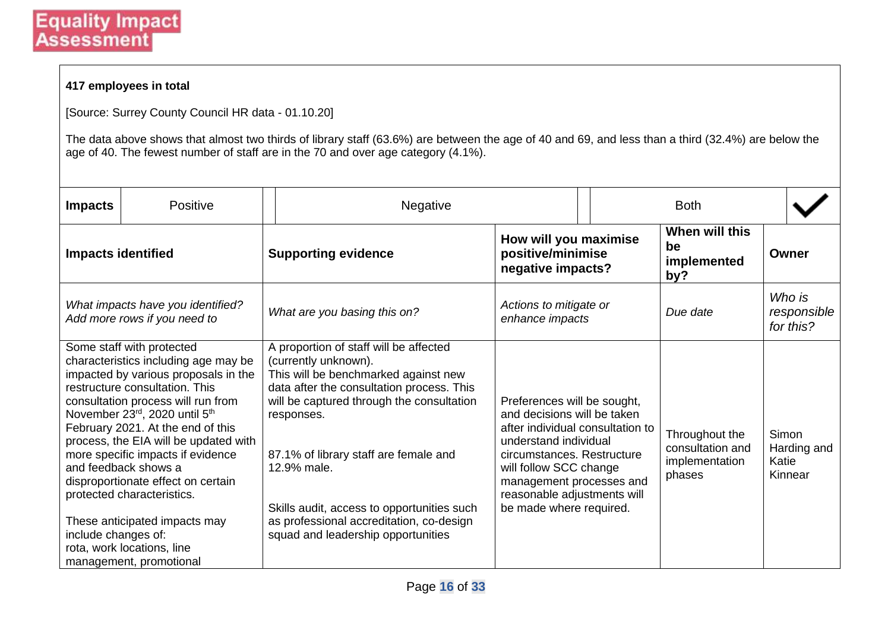#### **417 employees in total**

[Source: Surrey County Council HR data - 01.10.20]

The data above shows that almost two thirds of library staff (63.6%) are between the age of 40 and 69, and less than a third (32.4%) are below the age of 40. The fewest number of staff are in the 70 and over age category (4.1%).

| <b>Impacts</b>            | Positive                                                                                                                                                                                                                                                                                                                                                                                                                                                                                                                    | <b>Negative</b>                                                                                                                                                                                                                                                                                                                                                                                        |                                                                                                                                                                                                                                                                       | <b>Both</b>                                                    |                                                 |
|---------------------------|-----------------------------------------------------------------------------------------------------------------------------------------------------------------------------------------------------------------------------------------------------------------------------------------------------------------------------------------------------------------------------------------------------------------------------------------------------------------------------------------------------------------------------|--------------------------------------------------------------------------------------------------------------------------------------------------------------------------------------------------------------------------------------------------------------------------------------------------------------------------------------------------------------------------------------------------------|-----------------------------------------------------------------------------------------------------------------------------------------------------------------------------------------------------------------------------------------------------------------------|----------------------------------------------------------------|-------------------------------------------------|
| <b>Impacts identified</b> |                                                                                                                                                                                                                                                                                                                                                                                                                                                                                                                             | <b>Supporting evidence</b>                                                                                                                                                                                                                                                                                                                                                                             | How will you maximise<br>positive/minimise<br>negative impacts?                                                                                                                                                                                                       | When will this<br>be<br>implemented<br>by?                     | Owner                                           |
|                           | What impacts have you identified?<br>Add more rows if you need to                                                                                                                                                                                                                                                                                                                                                                                                                                                           | What are you basing this on?                                                                                                                                                                                                                                                                                                                                                                           | Actions to mitigate or<br>enhance impacts                                                                                                                                                                                                                             | Due date                                                       | Who is<br>responsible<br>for this?              |
| include changes of:       | Some staff with protected<br>characteristics including age may be<br>impacted by various proposals in the<br>restructure consultation. This<br>consultation process will run from<br>November 23rd, 2020 until 5th<br>February 2021. At the end of this<br>process, the EIA will be updated with<br>more specific impacts if evidence<br>and feedback shows a<br>disproportionate effect on certain<br>protected characteristics.<br>These anticipated impacts may<br>rota, work locations, line<br>management, promotional | A proportion of staff will be affected<br>(currently unknown).<br>This will be benchmarked against new<br>data after the consultation process. This<br>will be captured through the consultation<br>responses.<br>87.1% of library staff are female and<br>12.9% male.<br>Skills audit, access to opportunities such<br>as professional accreditation, co-design<br>squad and leadership opportunities | Preferences will be sought,<br>and decisions will be taken<br>after individual consultation to<br>understand individual<br>circumstances. Restructure<br>will follow SCC change<br>management processes and<br>reasonable adjustments will<br>be made where required. | Throughout the<br>consultation and<br>implementation<br>phases | <b>Simon</b><br>Harding and<br>Katie<br>Kinnear |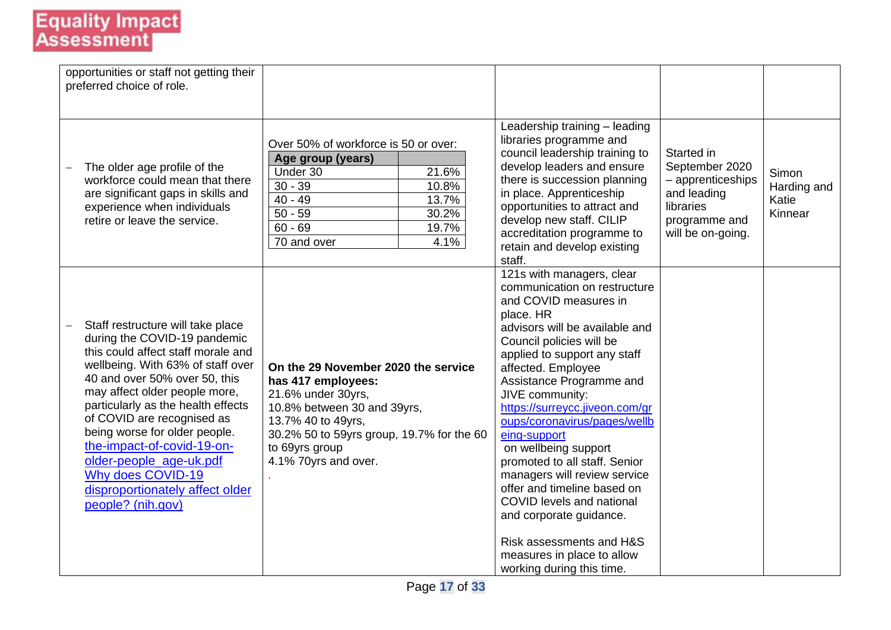| opportunities or staff not getting their<br>preferred choice of role.                                                                                                                                                                                                                                                                                                                                                                                     |                                                                                                                                                                                                                             |                                                                                                                                                                                                                                                                                                                                                                                                                                                                                                                                                                                                                             |                                                                                                                     |                                          |
|-----------------------------------------------------------------------------------------------------------------------------------------------------------------------------------------------------------------------------------------------------------------------------------------------------------------------------------------------------------------------------------------------------------------------------------------------------------|-----------------------------------------------------------------------------------------------------------------------------------------------------------------------------------------------------------------------------|-----------------------------------------------------------------------------------------------------------------------------------------------------------------------------------------------------------------------------------------------------------------------------------------------------------------------------------------------------------------------------------------------------------------------------------------------------------------------------------------------------------------------------------------------------------------------------------------------------------------------------|---------------------------------------------------------------------------------------------------------------------|------------------------------------------|
| The older age profile of the<br>workforce could mean that there<br>are significant gaps in skills and<br>experience when individuals<br>retire or leave the service.                                                                                                                                                                                                                                                                                      | Over 50% of workforce is 50 or over:<br>Age group (years)<br>Under 30<br>21.6%<br>$30 - 39$<br>10.8%<br>$40 - 49$<br>13.7%<br>$50 - 59$<br>30.2%<br>$60 - 69$<br>19.7%<br>70 and over<br>4.1%                               | Leadership training - leading<br>libraries programme and<br>council leadership training to<br>develop leaders and ensure<br>there is succession planning<br>in place. Apprenticeship<br>opportunities to attract and<br>develop new staff. CILIP<br>accreditation programme to<br>retain and develop existing<br>staff.                                                                                                                                                                                                                                                                                                     | Started in<br>September 2020<br>- apprenticeships<br>and leading<br>libraries<br>programme and<br>will be on-going. | Simon<br>Harding and<br>Katie<br>Kinnear |
| Staff restructure will take place<br>during the COVID-19 pandemic<br>this could affect staff morale and<br>wellbeing. With 63% of staff over<br>40 and over 50% over 50, this<br>may affect older people more,<br>particularly as the health effects<br>of COVID are recognised as<br>being worse for older people.<br>the-impact-of-covid-19-on-<br>older-people_age-uk.pdf<br>Why does COVID-19<br>disproportionately affect older<br>people? (nih.gov) | On the 29 November 2020 the service<br>has 417 employees:<br>21.6% under 30yrs,<br>10.8% between 30 and 39yrs,<br>13.7% 40 to 49yrs,<br>30.2% 50 to 59yrs group, 19.7% for the 60<br>to 69yrs group<br>4.1% 70yrs and over. | 121s with managers, clear<br>communication on restructure<br>and COVID measures in<br>place. HR<br>advisors will be available and<br>Council policies will be<br>applied to support any staff<br>affected. Employee<br>Assistance Programme and<br>JIVE community:<br>https://surreycc.jiveon.com/gr<br>oups/coronavirus/pages/wellb<br>eing-support<br>on wellbeing support<br>promoted to all staff. Senior<br>managers will review service<br>offer and timeline based on<br>COVID levels and national<br>and corporate guidance.<br>Risk assessments and H&S<br>measures in place to allow<br>working during this time. |                                                                                                                     |                                          |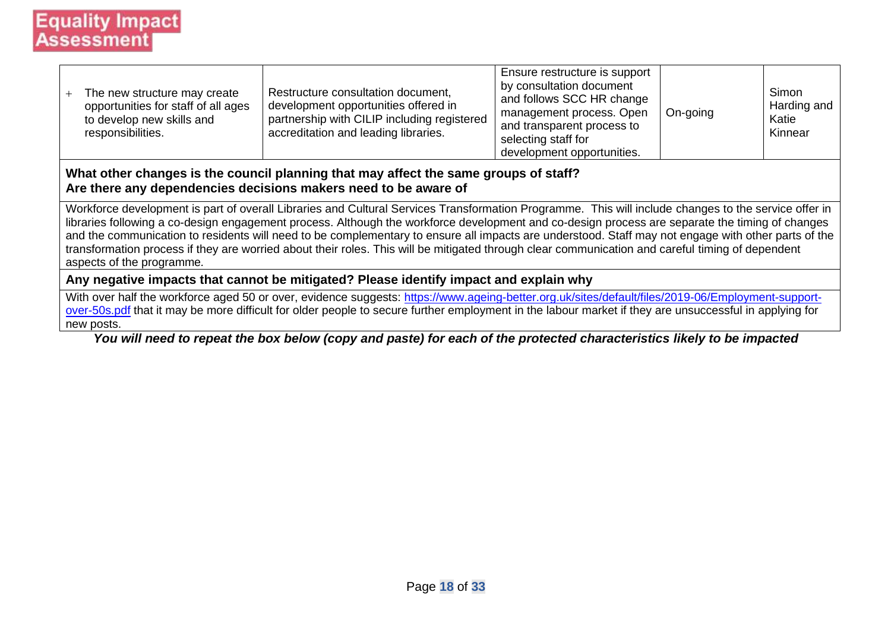| The new structure may create<br>opportunities for staff of all ages<br>to develop new skills and<br>responsibilities. | Restructure consultation document,<br>development opportunities offered in<br>partnership with CILIP including registered<br>accreditation and leading libraries. | Ensure restructure is support<br>by consultation document<br>and follows SCC HR change<br>management process. Open<br>and transparent process to<br>selecting staff for<br>development opportunities. | On-going | Simon<br>Harding and<br>Katie<br>Kinnear |
|-----------------------------------------------------------------------------------------------------------------------|-------------------------------------------------------------------------------------------------------------------------------------------------------------------|-------------------------------------------------------------------------------------------------------------------------------------------------------------------------------------------------------|----------|------------------------------------------|
|-----------------------------------------------------------------------------------------------------------------------|-------------------------------------------------------------------------------------------------------------------------------------------------------------------|-------------------------------------------------------------------------------------------------------------------------------------------------------------------------------------------------------|----------|------------------------------------------|

#### **What other changes is the council planning that may affect the same groups of staff? Are there any dependencies decisions makers need to be aware of**

Workforce development is part of overall Libraries and Cultural Services Transformation Programme. This will include changes to the service offer in libraries following a co-design engagement process. Although the workforce development and co-design process are separate the timing of changes and the communication to residents will need to be complementary to ensure all impacts are understood. Staff may not engage with other parts of the transformation process if they are worried about their roles. This will be mitigated through clear communication and careful timing of dependent aspects of the programme*.* 

#### **Any negative impacts that cannot be mitigated? Please identify impact and explain why**

With over half the workforce aged 50 or over, evidence suggests: [https://www.ageing-better.org.uk/sites/default/files/2019-06/Employment-support](https://www.ageing-better.org.uk/sites/default/files/2019-06/Employment-support-over-50s.pdf)[over-50s.pdf](https://www.ageing-better.org.uk/sites/default/files/2019-06/Employment-support-over-50s.pdf) that it may be more difficult for older people to secure further employment in the labour market if they are unsuccessful in applying for new posts.

*You will need to repeat the box below (copy and paste) for each of the protected characteristics likely to be impacted*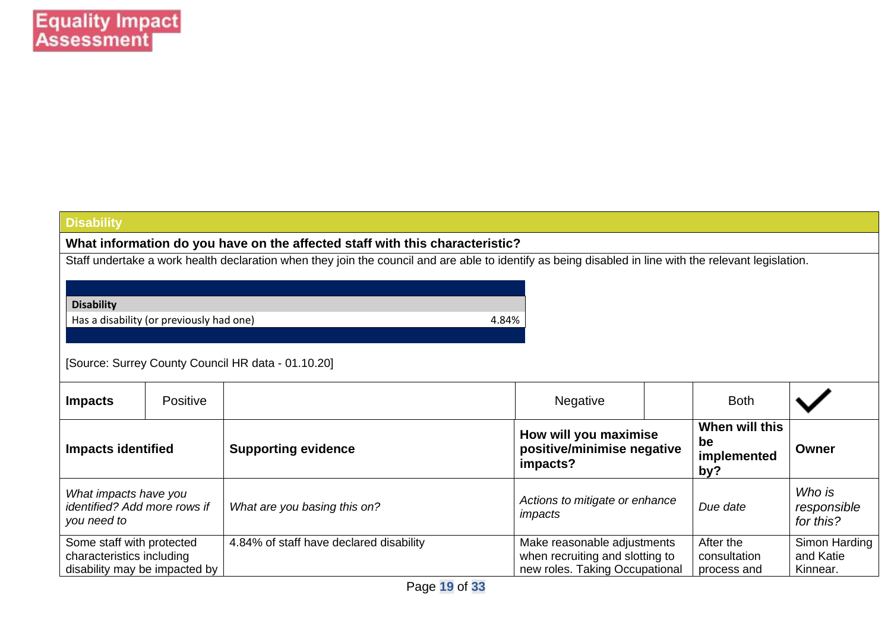#### **Disability**

**What information do you have on the affected staff with this characteristic?**

Staff undertake a work health declaration when they join the council and are able to identify as being disabled in line with the relevant legislation.

#### **Disability**

Has a disability (or previously had one) and the state of the state of the 4.84%

#### [Source: Surrey County Council HR data - 01.10.20]

| <b>Impacts</b>                                                                          | <b>Positive</b> |                                         | <b>Negative</b>                                                                                  | <b>Both</b>                                |                                        |
|-----------------------------------------------------------------------------------------|-----------------|-----------------------------------------|--------------------------------------------------------------------------------------------------|--------------------------------------------|----------------------------------------|
| <b>Impacts identified</b>                                                               |                 | <b>Supporting evidence</b>              | How will you maximise<br>positive/minimise negative<br>impacts?                                  | When will this<br>be<br>implemented<br>by? | Owner                                  |
| What impacts have you<br>identified? Add more rows if<br>you need to                    |                 | What are you basing this on?            | Actions to mitigate or enhance<br>impacts                                                        | Due date                                   | Who is<br>responsible<br>for this?     |
| Some staff with protected<br>characteristics including<br>disability may be impacted by |                 | 4.84% of staff have declared disability | Make reasonable adjustments<br>when recruiting and slotting to<br>new roles. Taking Occupational | After the<br>consultation<br>process and   | Simon Harding<br>and Katie<br>Kinnear. |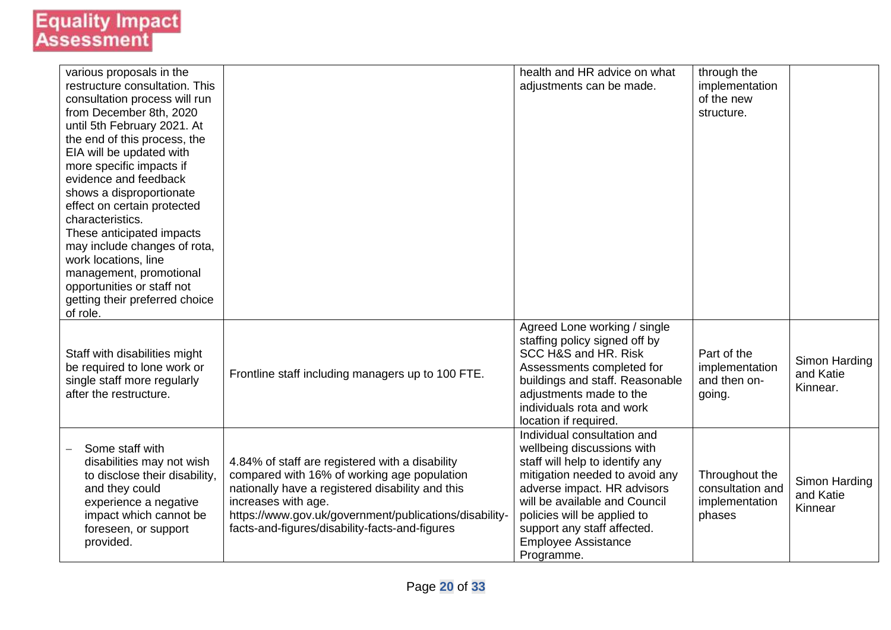| various proposals in the<br>restructure consultation. This<br>consultation process will run<br>from December 8th, 2020<br>until 5th February 2021. At<br>the end of this process, the<br>EIA will be updated with<br>more specific impacts if<br>evidence and feedback<br>shows a disproportionate<br>effect on certain protected<br>characteristics.<br>These anticipated impacts<br>may include changes of rota,<br>work locations, line<br>management, promotional<br>opportunities or staff not<br>getting their preferred choice<br>of role. |                                                                                                                                                                                                                                                                                       | health and HR advice on what<br>adjustments can be made.                                                                                                                                                                                                                                                 | through the<br>implementation<br>of the new<br>structure.      |                                        |
|---------------------------------------------------------------------------------------------------------------------------------------------------------------------------------------------------------------------------------------------------------------------------------------------------------------------------------------------------------------------------------------------------------------------------------------------------------------------------------------------------------------------------------------------------|---------------------------------------------------------------------------------------------------------------------------------------------------------------------------------------------------------------------------------------------------------------------------------------|----------------------------------------------------------------------------------------------------------------------------------------------------------------------------------------------------------------------------------------------------------------------------------------------------------|----------------------------------------------------------------|----------------------------------------|
| Staff with disabilities might<br>be required to lone work or<br>single staff more regularly<br>after the restructure.                                                                                                                                                                                                                                                                                                                                                                                                                             | Frontline staff including managers up to 100 FTE.                                                                                                                                                                                                                                     | Agreed Lone working / single<br>staffing policy signed off by<br>SCC H&S and HR. Risk<br>Assessments completed for<br>buildings and staff. Reasonable<br>adjustments made to the<br>individuals rota and work<br>location if required.                                                                   | Part of the<br>implementation<br>and then on-<br>going.        | Simon Harding<br>and Katie<br>Kinnear. |
| Some staff with<br>disabilities may not wish<br>to disclose their disability,<br>and they could<br>experience a negative<br>impact which cannot be<br>foreseen, or support<br>provided.                                                                                                                                                                                                                                                                                                                                                           | 4.84% of staff are registered with a disability<br>compared with 16% of working age population<br>nationally have a registered disability and this<br>increases with age.<br>https://www.gov.uk/government/publications/disability-<br>facts-and-figures/disability-facts-and-figures | Individual consultation and<br>wellbeing discussions with<br>staff will help to identify any<br>mitigation needed to avoid any<br>adverse impact. HR advisors<br>will be available and Council<br>policies will be applied to<br>support any staff affected.<br><b>Employee Assistance</b><br>Programme. | Throughout the<br>consultation and<br>implementation<br>phases | Simon Harding<br>and Katie<br>Kinnear  |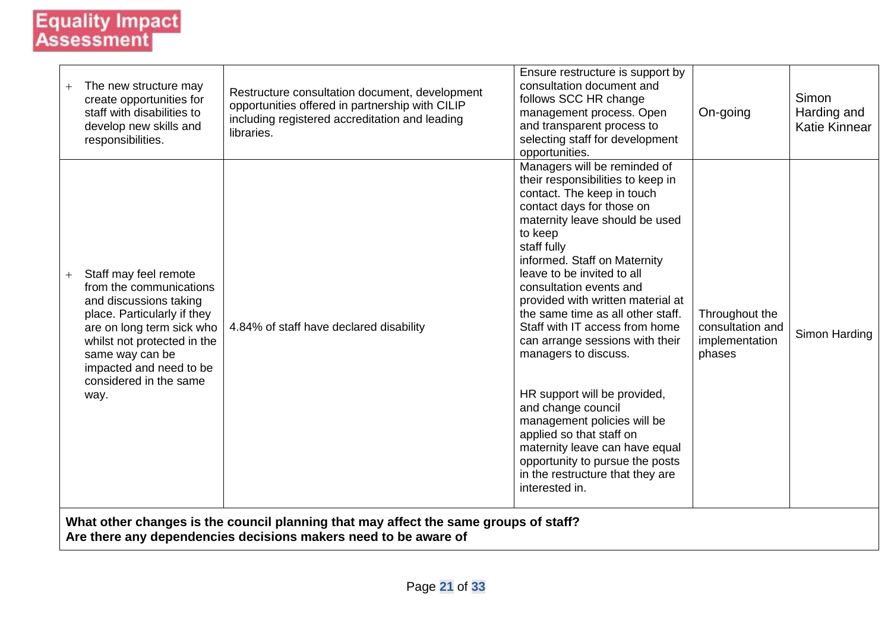| The new structure may<br>create opportunities for<br>staff with disabilities to<br>develop new skills and<br>responsibilities.                                                                                                                               | Restructure consultation document, development<br>opportunities offered in partnership with CILIP<br>including registered accreditation and leading<br>libraries. | Ensure restructure is support by<br>consultation document and<br>follows SCC HR change<br>management process. Open<br>and transparent process to<br>selecting staff for development<br>opportunities.                                                                                                                                                                                                                                                                                                                                                                                                                                                                                                | On-going                                                       | Simon<br>Harding and<br><b>Katie Kinnear</b> |
|--------------------------------------------------------------------------------------------------------------------------------------------------------------------------------------------------------------------------------------------------------------|-------------------------------------------------------------------------------------------------------------------------------------------------------------------|------------------------------------------------------------------------------------------------------------------------------------------------------------------------------------------------------------------------------------------------------------------------------------------------------------------------------------------------------------------------------------------------------------------------------------------------------------------------------------------------------------------------------------------------------------------------------------------------------------------------------------------------------------------------------------------------------|----------------------------------------------------------------|----------------------------------------------|
| Staff may feel remote<br>$+$<br>from the communications<br>and discussions taking<br>place. Particularly if they<br>are on long term sick who<br>whilst not protected in the<br>same way can be<br>impacted and need to be<br>considered in the same<br>way. | 4.84% of staff have declared disability                                                                                                                           | Managers will be reminded of<br>their responsibilities to keep in<br>contact. The keep in touch<br>contact days for those on<br>maternity leave should be used<br>to keep<br>staff fully<br>informed. Staff on Maternity<br>leave to be invited to all<br>consultation events and<br>provided with written material at<br>the same time as all other staff.<br>Staff with IT access from home<br>can arrange sessions with their<br>managers to discuss.<br>HR support will be provided,<br>and change council<br>management policies will be<br>applied so that staff on<br>maternity leave can have equal<br>opportunity to pursue the posts<br>in the restructure that they are<br>interested in. | Throughout the<br>consultation and<br>implementation<br>phases | Simon Harding                                |
|                                                                                                                                                                                                                                                              | What other changes is the council planning that may affect the same groups of staff?<br>Are there any dependencies decisions makers need to be aware of           |                                                                                                                                                                                                                                                                                                                                                                                                                                                                                                                                                                                                                                                                                                      |                                                                |                                              |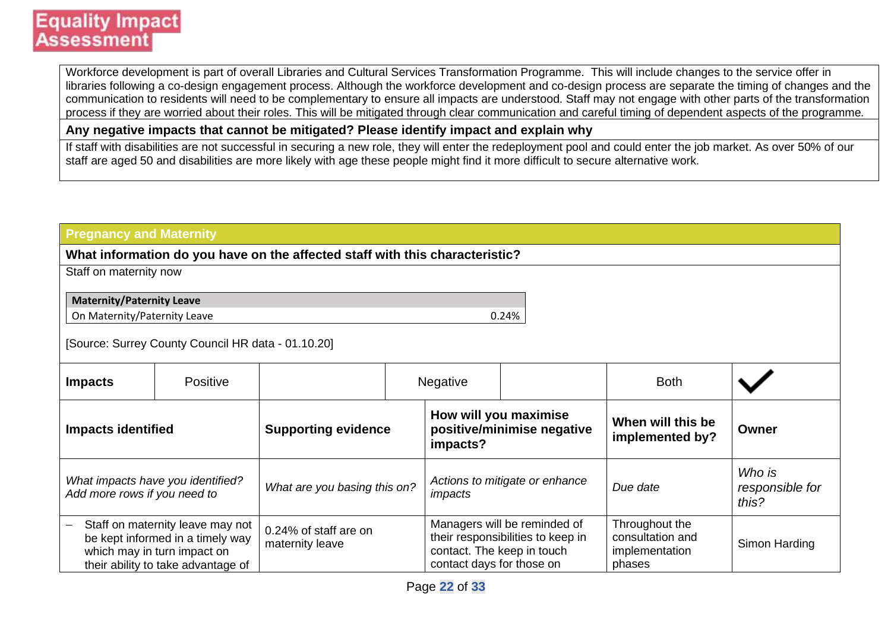Workforce development is part of overall Libraries and Cultural Services Transformation Programme. This will include changes to the service offer in libraries following a co-design engagement process. Although the workforce development and co-design process are separate the timing of changes and the communication to residents will need to be complementary to ensure all impacts are understood. Staff may not engage with other parts of the transformation process if they are worried about their roles. This will be mitigated through clear communication and careful timing of dependent aspects of the programme*.*

**Any negative impacts that cannot be mitigated? Please identify impact and explain why**

If staff with disabilities are not successful in securing a new role, they will enter the redeployment pool and could enter the job market. As over 50% of our staff are aged 50 and disabilities are more likely with age these people might find it more difficult to secure alternative work.

| <b>Pregnancy and Maternity</b>   |                                                                                                                                           |                                                                              |                                                         |                                                                   |                                                                |                                    |
|----------------------------------|-------------------------------------------------------------------------------------------------------------------------------------------|------------------------------------------------------------------------------|---------------------------------------------------------|-------------------------------------------------------------------|----------------------------------------------------------------|------------------------------------|
|                                  |                                                                                                                                           | What information do you have on the affected staff with this characteristic? |                                                         |                                                                   |                                                                |                                    |
| Staff on maternity now           |                                                                                                                                           |                                                                              |                                                         |                                                                   |                                                                |                                    |
| <b>Maternity/Paternity Leave</b> |                                                                                                                                           |                                                                              |                                                         |                                                                   |                                                                |                                    |
| On Maternity/Paternity Leave     |                                                                                                                                           |                                                                              |                                                         | 0.24%                                                             |                                                                |                                    |
|                                  | [Source: Surrey County Council HR data - 01.10.20]                                                                                        |                                                                              |                                                         |                                                                   |                                                                |                                    |
| <b>Impacts</b>                   | Positive                                                                                                                                  |                                                                              | Negative                                                |                                                                   | <b>Both</b>                                                    |                                    |
| <b>Impacts identified</b>        |                                                                                                                                           | <b>Supporting evidence</b>                                                   | impacts?                                                | How will you maximise<br>positive/minimise negative               | When will this be<br>implemented by?                           | Owner                              |
| Add more rows if you need to     | What impacts have you identified?                                                                                                         | What are you basing this on?                                                 | impacts                                                 | Actions to mitigate or enhance                                    | Due date                                                       | Who is<br>responsible for<br>this? |
|                                  | Staff on maternity leave may not<br>be kept informed in a timely way<br>which may in turn impact on<br>their ability to take advantage of | 0.24% of staff are on<br>maternity leave                                     | contact. The keep in touch<br>contact days for those on | Managers will be reminded of<br>their responsibilities to keep in | Throughout the<br>consultation and<br>implementation<br>phases | Simon Harding                      |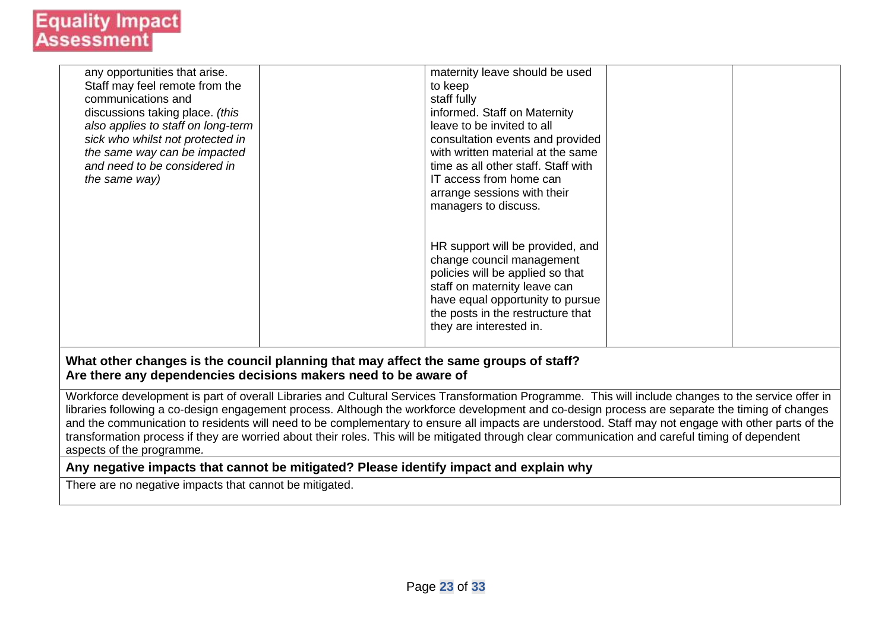| any opportunities that arise.      | maternity leave should be used                                                       |  |
|------------------------------------|--------------------------------------------------------------------------------------|--|
| Staff may feel remote from the     | to keep                                                                              |  |
| communications and                 | staff fully                                                                          |  |
| discussions taking place. (this    | informed. Staff on Maternity                                                         |  |
| also applies to staff on long-term | leave to be invited to all                                                           |  |
| sick who whilst not protected in   | consultation events and provided                                                     |  |
| the same way can be impacted       | with written material at the same                                                    |  |
| and need to be considered in       | time as all other staff. Staff with                                                  |  |
| the same way)                      | IT access from home can                                                              |  |
|                                    | arrange sessions with their                                                          |  |
|                                    | managers to discuss.                                                                 |  |
|                                    |                                                                                      |  |
|                                    |                                                                                      |  |
|                                    | HR support will be provided, and                                                     |  |
|                                    | change council management                                                            |  |
|                                    | policies will be applied so that                                                     |  |
|                                    | staff on maternity leave can                                                         |  |
|                                    | have equal opportunity to pursue                                                     |  |
|                                    | the posts in the restructure that                                                    |  |
|                                    | they are interested in.                                                              |  |
|                                    |                                                                                      |  |
|                                    | What other changes is the council planning that may affect the same groups of staff? |  |
|                                    | Are there any dependencies decisions makers need to be aware of                      |  |
|                                    |                                                                                      |  |

Workforce development is part of overall Libraries and Cultural Services Transformation Programme. This will include changes to the service offer in libraries following a co-design engagement process. Although the workforce development and co-design process are separate the timing of changes and the communication to residents will need to be complementary to ensure all impacts are understood. Staff may not engage with other parts of the transformation process if they are worried about their roles. This will be mitigated through clear communication and careful timing of dependent aspects of the programme*.*

#### **Any negative impacts that cannot be mitigated? Please identify impact and explain why**

There are no negative impacts that cannot be mitigated.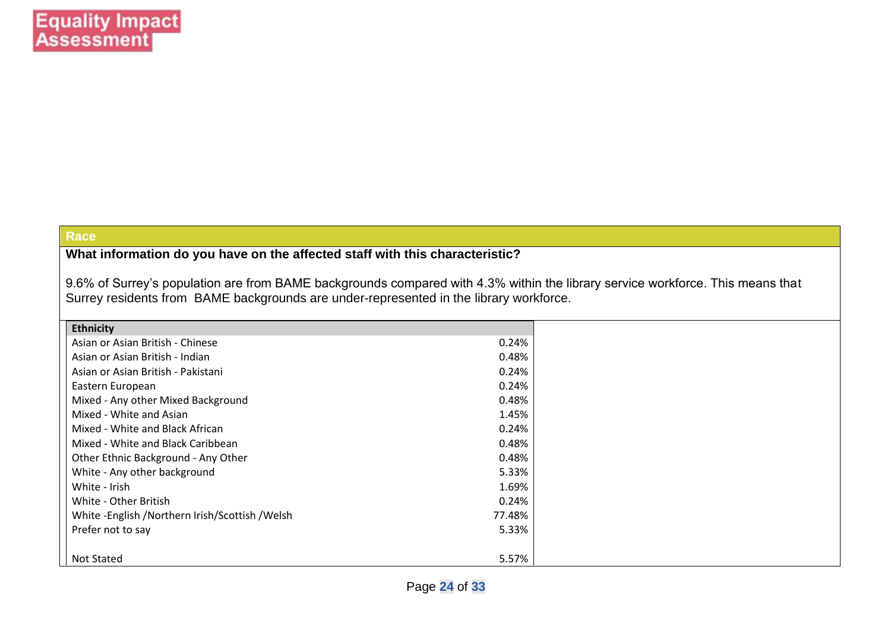#### **Race**

**What information do you have on the affected staff with this characteristic?**

9.6% of Surrey's population are from BAME backgrounds compared with 4.3% within the library service workforce. This means that Surrey residents from BAME backgrounds are under-represented in the library workforce.

| <b>Ethnicity</b>                               |        |
|------------------------------------------------|--------|
| Asian or Asian British - Chinese               | 0.24%  |
| Asian or Asian British - Indian                | 0.48%  |
| Asian or Asian British - Pakistani             | 0.24%  |
| Eastern European                               | 0.24%  |
| Mixed - Any other Mixed Background             | 0.48%  |
| Mixed - White and Asian                        | 1.45%  |
| Mixed - White and Black African                | 0.24%  |
| Mixed - White and Black Caribbean              | 0.48%  |
| Other Ethnic Background - Any Other            | 0.48%  |
| White - Any other background                   | 5.33%  |
| White - Irish                                  | 1.69%  |
| White - Other British                          | 0.24%  |
| White -English /Northern Irish/Scottish /Welsh | 77.48% |
| Prefer not to say                              | 5.33%  |
|                                                |        |
| Not Stated                                     | 5.57%  |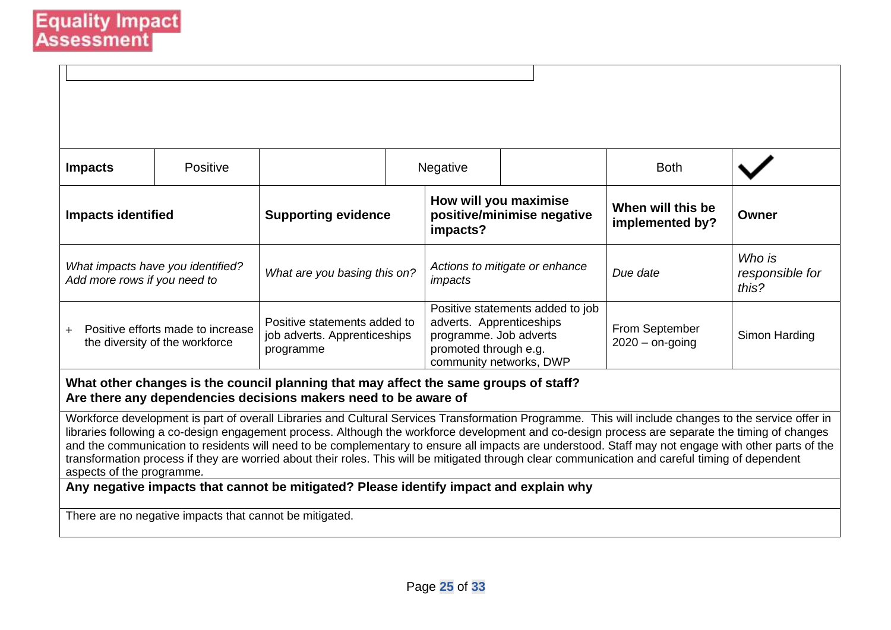| <b>Impacts</b>                                                                                                                                                                                                                                                                                                                                                                                                                                                                                                                                                                                                                                  | Positive |                                                                           |  | Negative                                                                                                                                   |  | <b>Both</b>                          |                                    |
|-------------------------------------------------------------------------------------------------------------------------------------------------------------------------------------------------------------------------------------------------------------------------------------------------------------------------------------------------------------------------------------------------------------------------------------------------------------------------------------------------------------------------------------------------------------------------------------------------------------------------------------------------|----------|---------------------------------------------------------------------------|--|--------------------------------------------------------------------------------------------------------------------------------------------|--|--------------------------------------|------------------------------------|
| <b>Impacts identified</b>                                                                                                                                                                                                                                                                                                                                                                                                                                                                                                                                                                                                                       |          | <b>Supporting evidence</b>                                                |  | How will you maximise<br>positive/minimise negative<br>impacts?                                                                            |  | When will this be<br>implemented by? | Owner                              |
| What impacts have you identified?<br>Add more rows if you need to                                                                                                                                                                                                                                                                                                                                                                                                                                                                                                                                                                               |          | What are you basing this on?                                              |  | Actions to mitigate or enhance<br>impacts                                                                                                  |  | Due date                             | Who is<br>responsible for<br>this? |
| Positive efforts made to increase<br>the diversity of the workforce                                                                                                                                                                                                                                                                                                                                                                                                                                                                                                                                                                             |          | Positive statements added to<br>job adverts. Apprenticeships<br>programme |  | Positive statements added to job<br>adverts. Apprenticeships<br>programme. Job adverts<br>promoted through e.g.<br>community networks, DWP |  | From September<br>$2020 -$ on-going  | Simon Harding                      |
| What other changes is the council planning that may affect the same groups of staff?<br>Are there any dependencies decisions makers need to be aware of                                                                                                                                                                                                                                                                                                                                                                                                                                                                                         |          |                                                                           |  |                                                                                                                                            |  |                                      |                                    |
| Workforce development is part of overall Libraries and Cultural Services Transformation Programme. This will include changes to the service offer in<br>libraries following a co-design engagement process. Although the workforce development and co-design process are separate the timing of changes<br>and the communication to residents will need to be complementary to ensure all impacts are understood. Staff may not engage with other parts of the<br>transformation process if they are worried about their roles. This will be mitigated through clear communication and careful timing of dependent<br>aspects of the programme. |          |                                                                           |  |                                                                                                                                            |  |                                      |                                    |
| Any negative impacts that cannot be mitigated? Please identify impact and explain why                                                                                                                                                                                                                                                                                                                                                                                                                                                                                                                                                           |          |                                                                           |  |                                                                                                                                            |  |                                      |                                    |
| There are no negative impacts that cannot be mitigated.                                                                                                                                                                                                                                                                                                                                                                                                                                                                                                                                                                                         |          |                                                                           |  |                                                                                                                                            |  |                                      |                                    |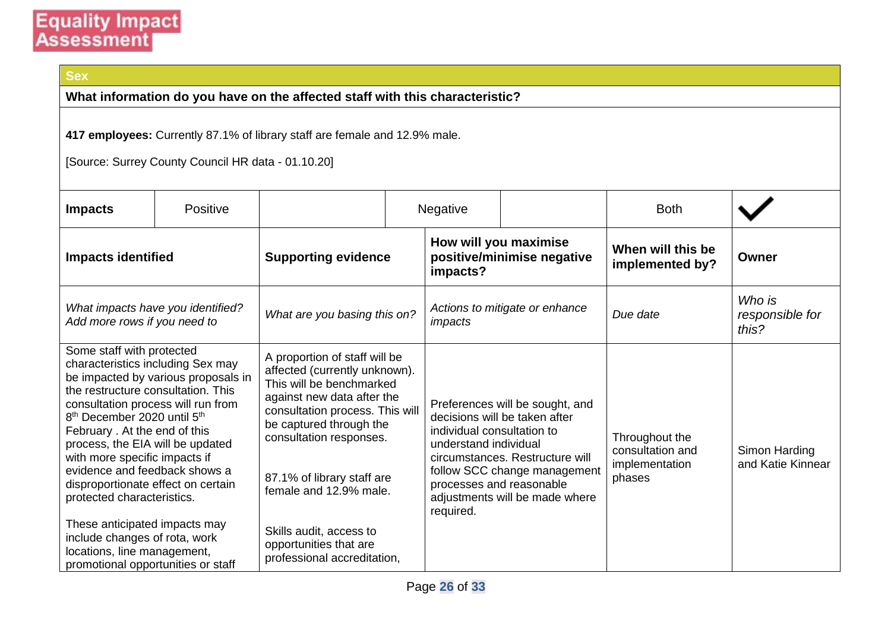### **Sex**

**What information do you have on the affected staff with this characteristic?**

**417 employees:** Currently 87.1% of library staff are female and 12.9% male.

[Source: Surrey County Council HR data - 01.10.20]

| <b>Impacts</b>                                                                                                                                                                                                                                                                                                                                                                                                                                                                                                | <b>Positive</b>                     |                                                                                                                                                                                                                                                                                                                                                               | Negative                                                                                     |                                                                                                                                                                       | <b>Both</b>                                                    |                                    |
|---------------------------------------------------------------------------------------------------------------------------------------------------------------------------------------------------------------------------------------------------------------------------------------------------------------------------------------------------------------------------------------------------------------------------------------------------------------------------------------------------------------|-------------------------------------|---------------------------------------------------------------------------------------------------------------------------------------------------------------------------------------------------------------------------------------------------------------------------------------------------------------------------------------------------------------|----------------------------------------------------------------------------------------------|-----------------------------------------------------------------------------------------------------------------------------------------------------------------------|----------------------------------------------------------------|------------------------------------|
| <b>Impacts identified</b>                                                                                                                                                                                                                                                                                                                                                                                                                                                                                     |                                     | <b>Supporting evidence</b>                                                                                                                                                                                                                                                                                                                                    | How will you maximise<br>positive/minimise negative<br>impacts?                              |                                                                                                                                                                       | When will this be<br>implemented by?                           | Owner                              |
| Add more rows if you need to                                                                                                                                                                                                                                                                                                                                                                                                                                                                                  | What impacts have you identified?   | What are you basing this on?                                                                                                                                                                                                                                                                                                                                  | impacts                                                                                      | Actions to mitigate or enhance                                                                                                                                        | Due date                                                       | Who is<br>responsible for<br>this? |
| Some staff with protected<br>characteristics including Sex may<br>the restructure consultation. This<br>consultation process will run from<br>8 <sup>th</sup> December 2020 until 5 <sup>th</sup><br>February . At the end of this<br>process, the EIA will be updated<br>with more specific impacts if<br>evidence and feedback shows a<br>disproportionate effect on certain<br>protected characteristics.<br>These anticipated impacts may<br>include changes of rota, work<br>locations, line management, | be impacted by various proposals in | A proportion of staff will be<br>affected (currently unknown).<br>This will be benchmarked<br>against new data after the<br>consultation process. This will<br>be captured through the<br>consultation responses.<br>87.1% of library staff are<br>female and 12.9% male.<br>Skills audit, access to<br>opportunities that are<br>professional accreditation, | individual consultation to<br>understand individual<br>processes and reasonable<br>required. | Preferences will be sought, and<br>decisions will be taken after<br>circumstances. Restructure will<br>follow SCC change management<br>adjustments will be made where | Throughout the<br>consultation and<br>implementation<br>phases | Simon Harding<br>and Katie Kinnear |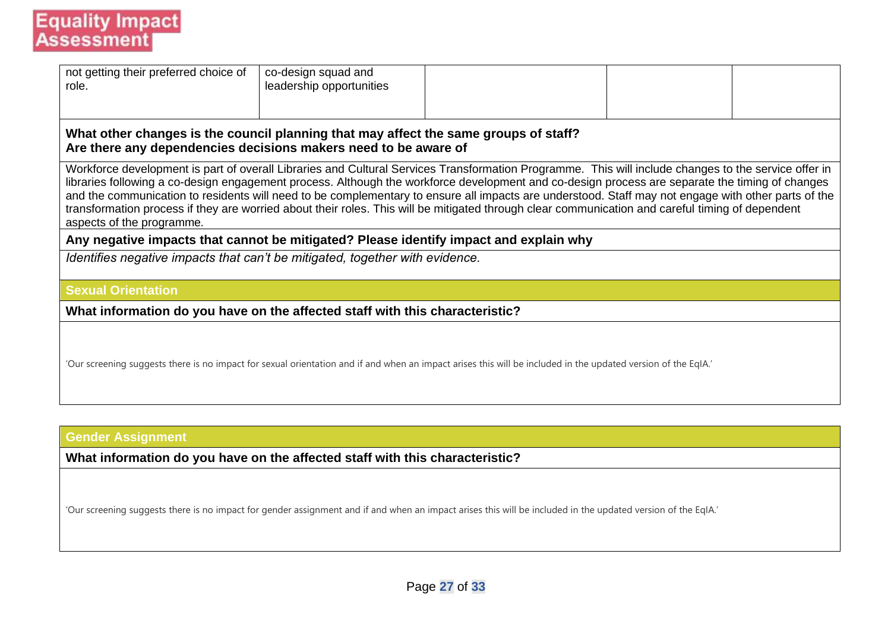| not getting their preferred choice of<br>role.                                                                                                                                                                                                                                                                                                                                                                                                                                                                                                                                                                                                  | co-design squad and<br>leadership opportunities |  |  |  |  |  |  |
|-------------------------------------------------------------------------------------------------------------------------------------------------------------------------------------------------------------------------------------------------------------------------------------------------------------------------------------------------------------------------------------------------------------------------------------------------------------------------------------------------------------------------------------------------------------------------------------------------------------------------------------------------|-------------------------------------------------|--|--|--|--|--|--|
| What other changes is the council planning that may affect the same groups of staff?<br>Are there any dependencies decisions makers need to be aware of                                                                                                                                                                                                                                                                                                                                                                                                                                                                                         |                                                 |  |  |  |  |  |  |
| Workforce development is part of overall Libraries and Cultural Services Transformation Programme. This will include changes to the service offer in<br>libraries following a co-design engagement process. Although the workforce development and co-design process are separate the timing of changes<br>and the communication to residents will need to be complementary to ensure all impacts are understood. Staff may not engage with other parts of the<br>transformation process if they are worried about their roles. This will be mitigated through clear communication and careful timing of dependent<br>aspects of the programme. |                                                 |  |  |  |  |  |  |
| Any negative impacts that cannot be mitigated? Please identify impact and explain why                                                                                                                                                                                                                                                                                                                                                                                                                                                                                                                                                           |                                                 |  |  |  |  |  |  |
| Identifies negative impacts that can't be mitigated, together with evidence.                                                                                                                                                                                                                                                                                                                                                                                                                                                                                                                                                                    |                                                 |  |  |  |  |  |  |
| <b>Sexual Orientation</b>                                                                                                                                                                                                                                                                                                                                                                                                                                                                                                                                                                                                                       |                                                 |  |  |  |  |  |  |
| What information do you have on the affected staff with this characteristic?                                                                                                                                                                                                                                                                                                                                                                                                                                                                                                                                                                    |                                                 |  |  |  |  |  |  |
| 'Our screening suggests there is no impact for sexual orientation and if and when an impact arises this will be included in the updated version of the EqIA.'                                                                                                                                                                                                                                                                                                                                                                                                                                                                                   |                                                 |  |  |  |  |  |  |

### **Gender Assignment**

**What information do you have on the affected staff with this characteristic?**

'Our screening suggests there is no impact for gender assignment and if and when an impact arises this will be included in the updated version of the EqIA.'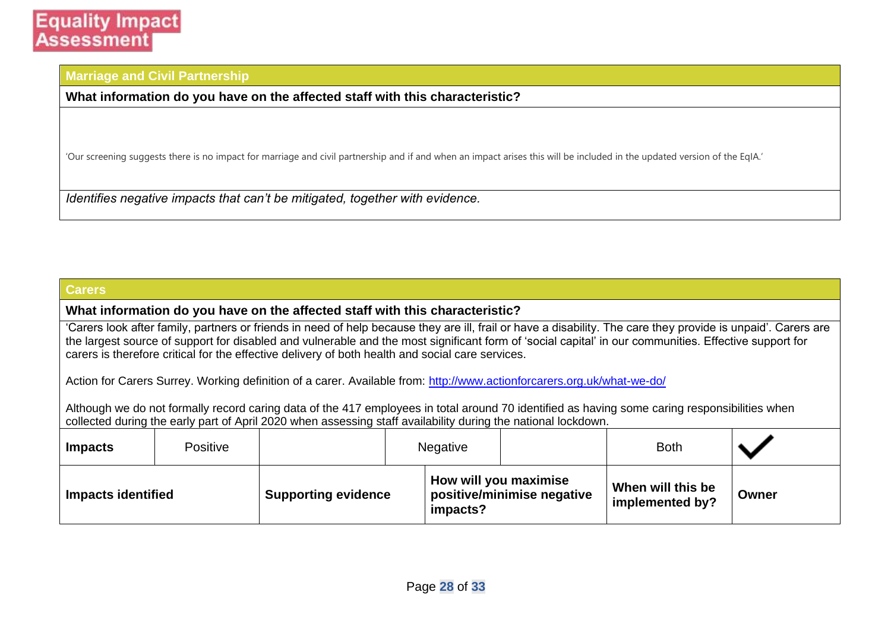#### **Marriage and Civil Partnership**

**What information do you have on the affected staff with this characteristic?**

'Our screening suggests there is no impact for marriage and civil partnership and if and when an impact arises this will be included in the updated version of the EqIA.'

*Identifies negative impacts that can't be mitigated, together with evidence.*

#### **Carers**

#### **What information do you have on the affected staff with this characteristic?**

'Carers look after family, partners or friends in need of help because they are ill, frail or have a disability. The care they provide is unpaid'. Carers are the largest source of support for disabled and vulnerable and the most significant form of 'social capital' in our communities. Effective support for carers is therefore critical for the effective delivery of both health and social care services.

Action for Carers Surrey. Working definition of a carer. Available from:<http://www.actionforcarers.org.uk/what-we-do/>

Although we do not formally record caring data of the 417 employees in total around 70 identified as having some caring responsibilities when collected during the early part of April 2020 when assessing staff availability during the national lockdown.

| <b>Impacts</b>            | <b>Positive</b> |                            | <b>Negative</b>                   |                            | <b>Both</b>                          |       |
|---------------------------|-----------------|----------------------------|-----------------------------------|----------------------------|--------------------------------------|-------|
| <b>Impacts identified</b> |                 | <b>Supporting evidence</b> | How will you maximise<br>impacts? | positive/minimise negative | When will this be<br>implemented by? | Owner |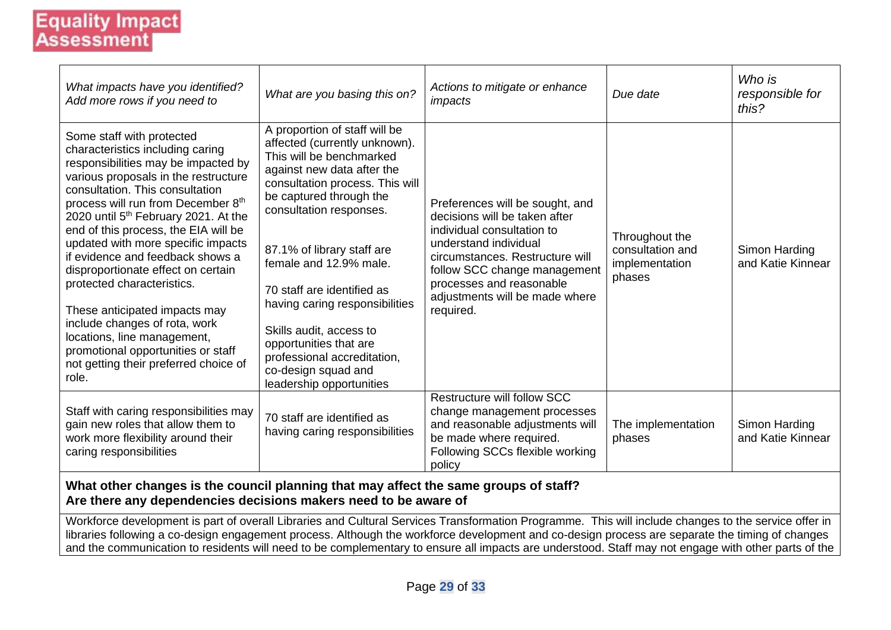| What impacts have you identified?<br>Add more rows if you need to                                                                                                                                                                                                                                                                                                                                                                                                                                                                                                                                                                                        | What are you basing this on?                                                                                                                                                                                                                                                                                                                                                                                                                                                     | Actions to mitigate or enhance<br>impacts                                                                                                                                                                                                                             | Due date                                                       | Who is<br>responsible for<br>this? |  |  |
|----------------------------------------------------------------------------------------------------------------------------------------------------------------------------------------------------------------------------------------------------------------------------------------------------------------------------------------------------------------------------------------------------------------------------------------------------------------------------------------------------------------------------------------------------------------------------------------------------------------------------------------------------------|----------------------------------------------------------------------------------------------------------------------------------------------------------------------------------------------------------------------------------------------------------------------------------------------------------------------------------------------------------------------------------------------------------------------------------------------------------------------------------|-----------------------------------------------------------------------------------------------------------------------------------------------------------------------------------------------------------------------------------------------------------------------|----------------------------------------------------------------|------------------------------------|--|--|
| Some staff with protected<br>characteristics including caring<br>responsibilities may be impacted by<br>various proposals in the restructure<br>consultation. This consultation<br>process will run from December 8th<br>2020 until 5 <sup>th</sup> February 2021. At the<br>end of this process, the EIA will be<br>updated with more specific impacts<br>if evidence and feedback shows a<br>disproportionate effect on certain<br>protected characteristics.<br>These anticipated impacts may<br>include changes of rota, work<br>locations, line management,<br>promotional opportunities or staff<br>not getting their preferred choice of<br>role. | A proportion of staff will be<br>affected (currently unknown).<br>This will be benchmarked<br>against new data after the<br>consultation process. This will<br>be captured through the<br>consultation responses.<br>87.1% of library staff are<br>female and 12.9% male.<br>70 staff are identified as<br>having caring responsibilities<br>Skills audit, access to<br>opportunities that are<br>professional accreditation,<br>co-design squad and<br>leadership opportunities | Preferences will be sought, and<br>decisions will be taken after<br>individual consultation to<br>understand individual<br>circumstances. Restructure will<br>follow SCC change management<br>processes and reasonable<br>adjustments will be made where<br>required. | Throughout the<br>consultation and<br>implementation<br>phases | Simon Harding<br>and Katie Kinnear |  |  |
| Staff with caring responsibilities may<br>gain new roles that allow them to<br>work more flexibility around their<br>caring responsibilities                                                                                                                                                                                                                                                                                                                                                                                                                                                                                                             | 70 staff are identified as<br>having caring responsibilities                                                                                                                                                                                                                                                                                                                                                                                                                     | Restructure will follow SCC<br>change management processes<br>and reasonable adjustments will<br>be made where required.<br>Following SCCs flexible working<br>policy                                                                                                 | The implementation<br>phases                                   | Simon Harding<br>and Katie Kinnear |  |  |
|                                                                                                                                                                                                                                                                                                                                                                                                                                                                                                                                                                                                                                                          | What other changes is the council planning that may affect the same groups of staff?                                                                                                                                                                                                                                                                                                                                                                                             |                                                                                                                                                                                                                                                                       |                                                                |                                    |  |  |

**Are there any dependencies decisions makers need to be aware of**

Workforce development is part of overall Libraries and Cultural Services Transformation Programme. This will include changes to the service offer in libraries following a co-design engagement process. Although the workforce development and co-design process are separate the timing of changes and the communication to residents will need to be complementary to ensure all impacts are understood. Staff may not engage with other parts of the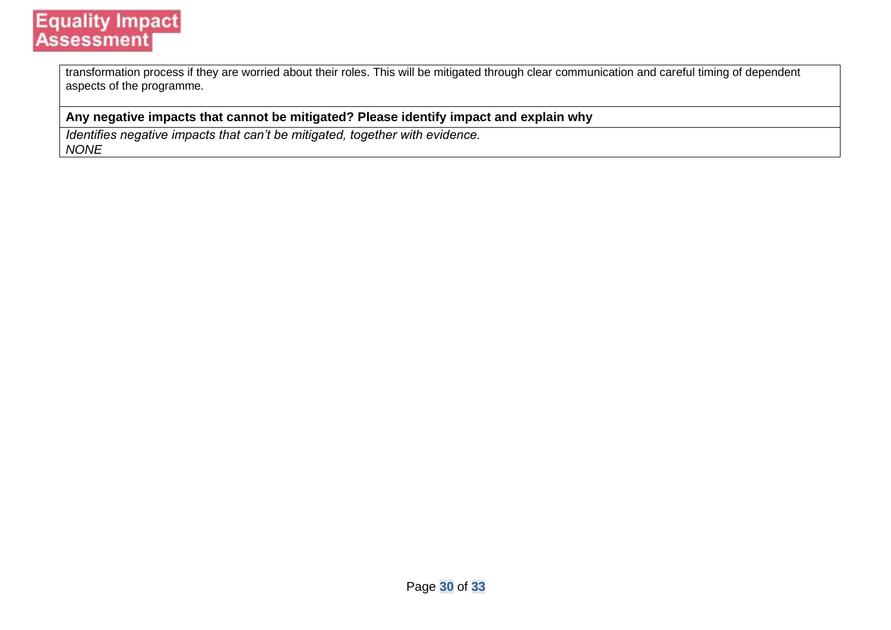transformation process if they are worried about their roles. This will be mitigated through clear communication and careful timing of dependent aspects of the programme*.*

#### **Any negative impacts that cannot be mitigated? Please identify impact and explain why**

*Identifies negative impacts that can't be mitigated, together with evidence. NONE*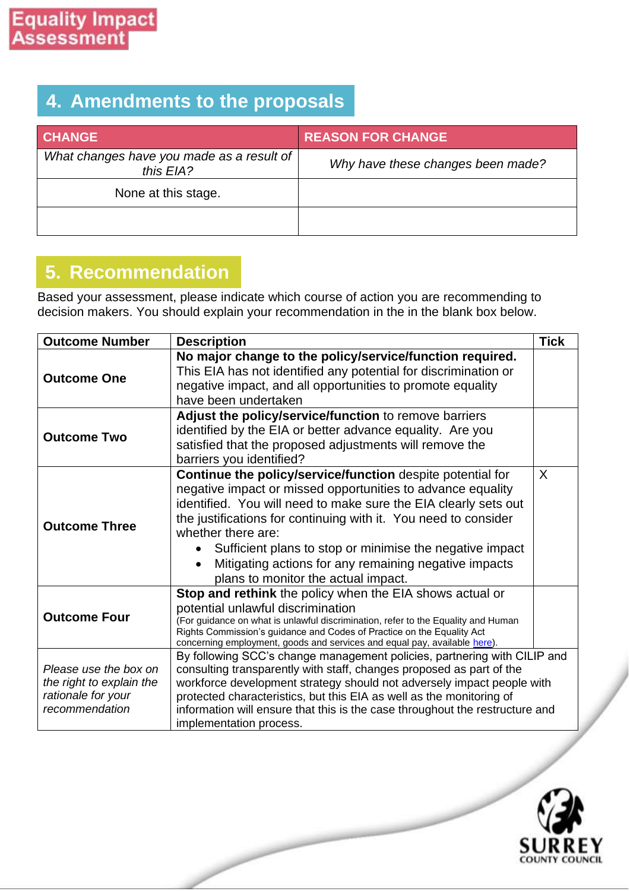### **4. Amendments to the proposals**

| <b>CHANGE</b>                                          | <b>REASON FOR CHANGE</b>          |
|--------------------------------------------------------|-----------------------------------|
| What changes have you made as a result of<br>this EIA? | Why have these changes been made? |
| None at this stage.                                    |                                   |
|                                                        |                                   |

### **5. Recommendation**

Based your assessment, please indicate which course of action you are recommending to decision makers. You should explain your recommendation in the in the blank box below.

| <b>Outcome Number</b>                                                                     | <b>Description</b>                                                                                                                                                                                                                                                                                                                                                                                                                                             | <b>Tick</b> |
|-------------------------------------------------------------------------------------------|----------------------------------------------------------------------------------------------------------------------------------------------------------------------------------------------------------------------------------------------------------------------------------------------------------------------------------------------------------------------------------------------------------------------------------------------------------------|-------------|
| <b>Outcome One</b>                                                                        | No major change to the policy/service/function required.<br>This EIA has not identified any potential for discrimination or<br>negative impact, and all opportunities to promote equality<br>have been undertaken                                                                                                                                                                                                                                              |             |
| <b>Outcome Two</b>                                                                        | Adjust the policy/service/function to remove barriers<br>identified by the EIA or better advance equality. Are you<br>satisfied that the proposed adjustments will remove the<br>barriers you identified?                                                                                                                                                                                                                                                      |             |
| <b>Outcome Three</b>                                                                      | Continue the policy/service/function despite potential for<br>negative impact or missed opportunities to advance equality<br>identified. You will need to make sure the EIA clearly sets out<br>the justifications for continuing with it. You need to consider<br>whether there are:<br>Sufficient plans to stop or minimise the negative impact<br>Mitigating actions for any remaining negative impacts<br>$\bullet$<br>plans to monitor the actual impact. | X           |
| <b>Outcome Four</b>                                                                       | Stop and rethink the policy when the EIA shows actual or<br>potential unlawful discrimination<br>(For guidance on what is unlawful discrimination, refer to the Equality and Human<br>Rights Commission's guidance and Codes of Practice on the Equality Act<br>concerning employment, goods and services and equal pay, available here).                                                                                                                      |             |
| Please use the box on<br>the right to explain the<br>rationale for your<br>recommendation | By following SCC's change management policies, partnering with CILIP and<br>consulting transparently with staff, changes proposed as part of the<br>workforce development strategy should not adversely impact people with<br>protected characteristics, but this EIA as well as the monitoring of<br>information will ensure that this is the case throughout the restructure and<br>implementation process.                                                  |             |

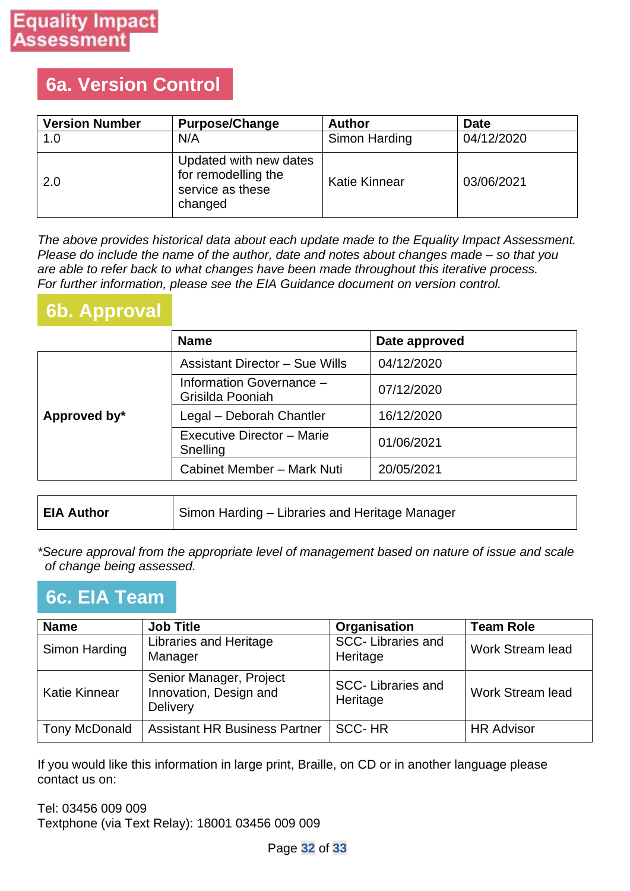### **6a. Version Control**

| <b>Version Number</b> | <b>Purpose/Change</b>                                                        | <b>Author</b> | <b>Date</b> |
|-----------------------|------------------------------------------------------------------------------|---------------|-------------|
| 1.0                   | N/A                                                                          | Simon Harding | 04/12/2020  |
| 2.0                   | Updated with new dates<br>for remodelling the<br>service as these<br>changed | Katie Kinnear | 03/06/2021  |

*The above provides historical data about each update made to the Equality Impact Assessment. Please do include the name of the author, date and notes about changes made – so that you are able to refer back to what changes have been made throughout this iterative process. For further information, please see the EIA Guidance document on version control.*

### **6b. Approval**

|              | <b>Name</b>                                  | Date approved |
|--------------|----------------------------------------------|---------------|
|              | <b>Assistant Director - Sue Wills</b>        | 04/12/2020    |
|              | Information Governance -<br>Grisilda Pooniah | 07/12/2020    |
| Approved by* | Legal - Deborah Chantler                     | 16/12/2020    |
|              | Executive Director - Marie<br>Snelling       | 01/06/2021    |
|              | Cabinet Member - Mark Nuti                   | 20/05/2021    |

| <b>EIA Author</b> | Simon Harding – Libraries and Heritage Manager |
|-------------------|------------------------------------------------|
|-------------------|------------------------------------------------|

*\*Secure approval from the appropriate level of management based on nature of issue and scale of change being assessed.*

### **6c. EIA Team**

| <b>Name</b>          | <b>Job Title</b>                                                     | Organisation                         | <b>Team Role</b>  |
|----------------------|----------------------------------------------------------------------|--------------------------------------|-------------------|
| Simon Harding        | <b>Libraries and Heritage</b><br>Manager                             | <b>SCC-Libraries and</b><br>Heritage | Work Stream lead  |
| Katie Kinnear        | Senior Manager, Project<br>Innovation, Design and<br><b>Delivery</b> | <b>SCC-Libraries and</b><br>Heritage | Work Stream lead  |
| <b>Tony McDonald</b> | <b>Assistant HR Business Partner</b>                                 | <b>SCC-HR</b>                        | <b>HR Advisor</b> |

If you would like this information in large print, Braille, on CD or in another language please contact us on:

Tel: 03456 009 009 Textphone (via Text Relay): 18001 03456 009 009